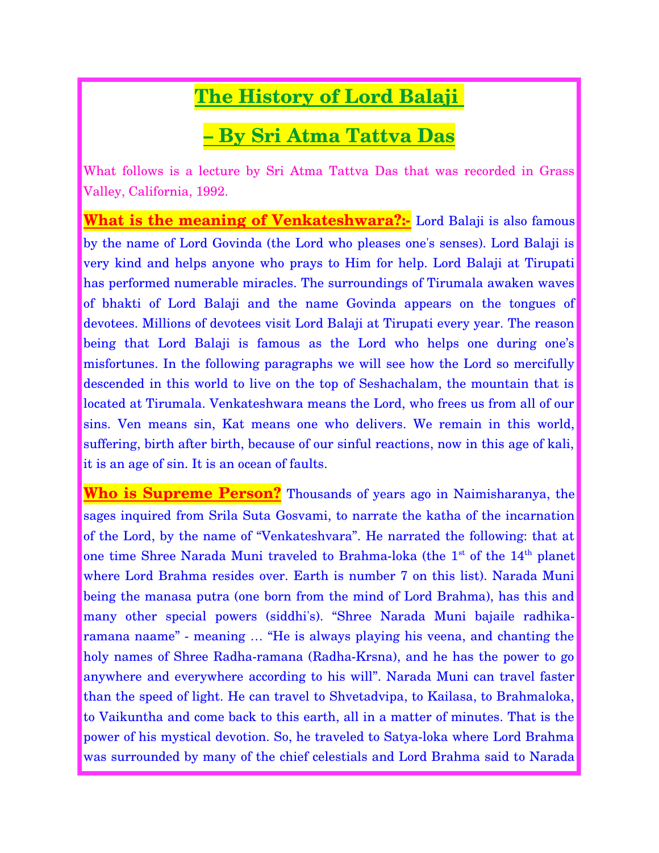# **The History of Lord Balaji**

# **– By Sri Atma Tattva Das**

What follows is a lecture by Sri Atma Tattva Das that was recorded in Grass Valley, California, 1992.

**What is the meaning of Venkateshwara?:-** Lord Balaji is also famous by the name of Lord Govinda (the Lord who pleases one's senses). Lord Balaji is very kind and helps anyone who prays to Him for help. Lord Balaji at Tirupati has performed numerable miracles. The surroundings of Tirumala awaken waves of bhakti of Lord Balaji and the name Govinda appears on the tongues of devotees. Millions of devotees visit Lord Balaji at Tirupati every year. The reason being that Lord Balaji is famous as the Lord who helps one during one's misfortunes. In the following paragraphs we will see how the Lord so mercifully descended in this world to live on the top of Seshachalam, the mountain that is located at Tirumala. Venkateshwara means the Lord, who frees us from all of our sins. Ven means sin, Kat means one who delivers. We remain in this world, suffering, birth after birth, because of our sinful reactions, now in this age of kali, it is an age of sin. It is an ocean of faults.

**Who is Supreme Person?** Thousands of years ago in Naimisharanya, the sages inquired from Srila Suta Gosvami, to narrate the katha of the incarnation of the Lord, by the name of "Venkateshvara". He narrated the following: that at one time Shree Narada Muni traveled to Brahma-loka (the 1<sup>st</sup> of the 14<sup>th</sup> planet where Lord Brahma resides over. Earth is number 7 on this list). Narada Muni being the manasa putra (one born from the mind of Lord Brahma), has this and many other special powers (siddhi's). "Shree Narada Muni bajaile radhikaramana naame" - meaning … "He is always playing his veena, and chanting the holy names of Shree Radha-ramana (Radha-Krsna), and he has the power to go anywhere and everywhere according to his will". Narada Muni can travel faster than the speed of light. He can travel to Shvetadvipa, to Kailasa, to Brahmaloka, to Vaikuntha and come back to this earth, all in a matter of minutes. That is the power of his mystical devotion. So, he traveled to Satya-loka where Lord Brahma was surrounded by many of the chief celestials and Lord Brahma said to Narada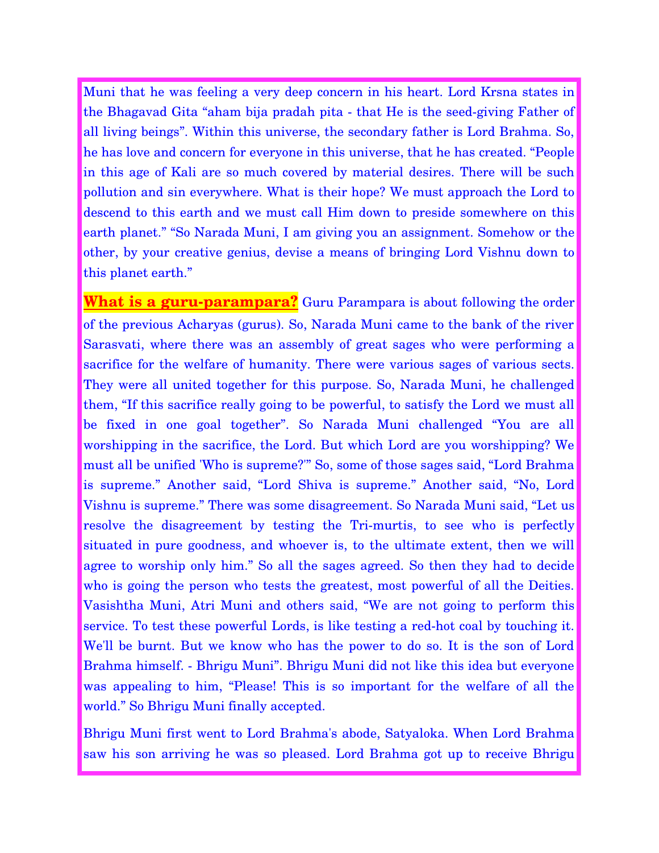Muni that he was feeling a very deep concern in his heart. Lord Krsna states in the Bhagavad Gita "aham bija pradah pita - that He is the seed-giving Father of all living beings". Within this universe, the secondary father is Lord Brahma. So, he has love and concern for everyone in this universe, that he has created. "People in this age of Kali are so much covered by material desires. There will be such pollution and sin everywhere. What is their hope? We must approach the Lord to descend to this earth and we must call Him down to preside somewhere on this earth planet." "So Narada Muni, I am giving you an assignment. Somehow or the other, by your creative genius, devise a means of bringing Lord Vishnu down to this planet earth."

**What is a guru-parampara?** Guru Parampara is about following the order of the previous Acharyas (gurus). So, Narada Muni came to the bank of the river Sarasvati, where there was an assembly of great sages who were performing a sacrifice for the welfare of humanity. There were various sages of various sects. They were all united together for this purpose. So, Narada Muni, he challenged them, "If this sacrifice really going to be powerful, to satisfy the Lord we must all be fixed in one goal together". So Narada Muni challenged "You are all worshipping in the sacrifice, the Lord. But which Lord are you worshipping? We must all be unified 'Who is supreme?'" So, some of those sages said, "Lord Brahma is supreme." Another said, "Lord Shiva is supreme." Another said, "No, Lord Vishnu is supreme." There was some disagreement. So Narada Muni said, "Let us resolve the disagreement by testing the Tri-murtis, to see who is perfectly situated in pure goodness, and whoever is, to the ultimate extent, then we will agree to worship only him." So all the sages agreed. So then they had to decide who is going the person who tests the greatest, most powerful of all the Deities. Vasishtha Muni, Atri Muni and others said, "We are not going to perform this service. To test these powerful Lords, is like testing a red-hot coal by touching it. We'll be burnt. But we know who has the power to do so. It is the son of Lord Brahma himself. - Bhrigu Muni". Bhrigu Muni did not like this idea but everyone was appealing to him, "Please! This is so important for the welfare of all the world." So Bhrigu Muni finally accepted.

Bhrigu Muni first went to Lord Brahma's abode, Satyaloka. When Lord Brahma saw his son arriving he was so pleased. Lord Brahma got up to receive Bhrigu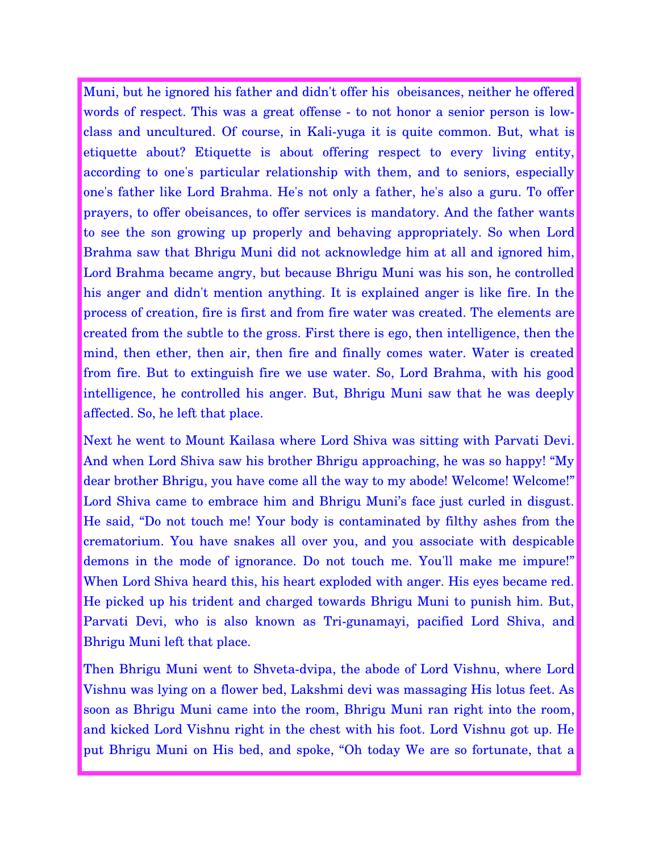Muni, but he ignored his father and didn't offer his obeisances, neither he offered words of respect. This was a great offense - to not honor a senior person is lowclass and uncultured. Of course, in Kali-yuga it is quite common. But, what is etiquette about? Etiquette is about offering respect to every living entity, according to one's particular relationship with them, and to seniors, especially one's father like Lord Brahma. He's not only a father, he's also a guru. To offer prayers, to offer obeisances, to offer services is mandatory. And the father wants to see the son growing up properly and behaving appropriately. So when Lord Brahma saw that Bhrigu Muni did not acknowledge him at all and ignored him, Lord Brahma became angry, but because Bhrigu Muni was his son, he controlled his anger and didn't mention anything. It is explained anger is like fire. In the process of creation, fire is first and from fire water was created. The elements are created from the subtle to the gross. First there is ego, then intelligence, then the mind, then ether, then air, then fire and finally comes water. Water is created from fire. But to extinguish fire we use water. So, Lord Brahma, with his good intelligence, he controlled his anger. But, Bhrigu Muni saw that he was deeply affected. So, he left that place.

Next he went to Mount Kailasa where Lord Shiva was sitting with Parvati Devi. And when Lord Shiva saw his brother Bhrigu approaching, he was so happy! "My dear brother Bhrigu, you have come all the way to my abode! Welcome! Welcome!" Lord Shiva came to embrace him and Bhrigu Muni's face just curled in disgust. He said, "Do not touch me! Your body is contaminated by filthy ashes from the crematorium. You have snakes all over you, and you associate with despicable demons in the mode of ignorance. Do not touch me. You'll make me impure!" When Lord Shiva heard this, his heart exploded with anger. His eyes became red. He picked up his trident and charged towards Bhrigu Muni to punish him. But, Parvati Devi, who is also known as Tri-gunamayi, pacified Lord Shiva, and Bhrigu Muni left that place.

Then Bhrigu Muni went to Shveta-dvipa, the abode of Lord Vishnu, where Lord Vishnu was lying on a flower bed, Lakshmi devi was massaging His lotus feet. As soon as Bhrigu Muni came into the room, Bhrigu Muni ran right into the room, and kicked Lord Vishnu right in the chest with his foot. Lord Vishnu got up. He put Bhrigu Muni on His bed, and spoke, "Oh today We are so fortunate, that a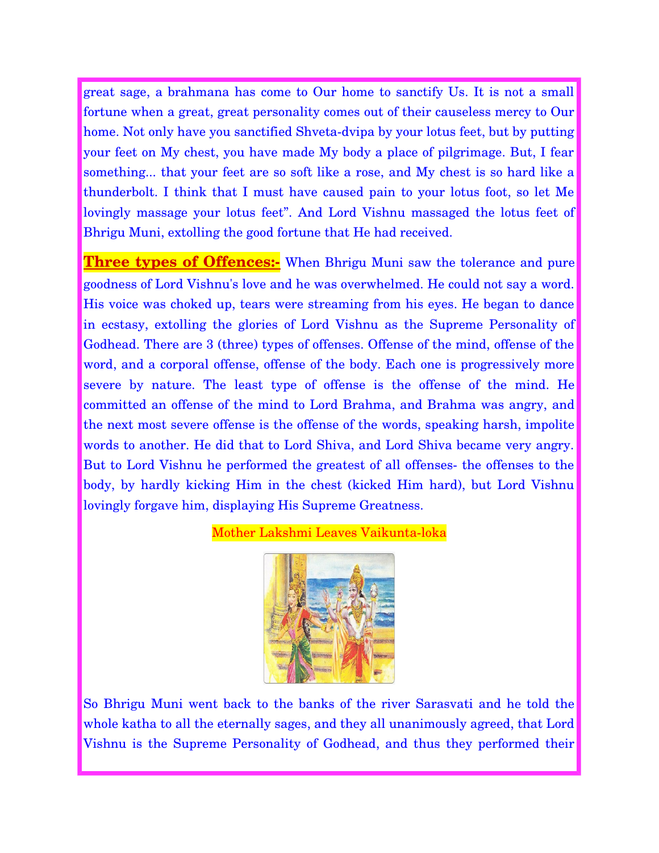great sage, a brahmana has come to Our home to sanctify Us. It is not a small fortune when a great, great personality comes out of their causeless mercy to Our home. Not only have you sanctified Shveta-dvipa by your lotus feet, but by putting your feet on My chest, you have made My body a place of pilgrimage. But, I fear something... that your feet are so soft like a rose, and My chest is so hard like a thunderbolt. I think that I must have caused pain to your lotus foot, so let Me lovingly massage your lotus feet". And Lord Vishnu massaged the lotus feet of Bhrigu Muni, extolling the good fortune that He had received.

**Three types of Offences:** When Bhrigu Muni saw the tolerance and pure goodness of Lord Vishnu's love and he was overwhelmed. He could not say a word. His voice was choked up, tears were streaming from his eyes. He began to dance in ecstasy, extolling the glories of Lord Vishnu as the Supreme Personality of Godhead. There are 3 (three) types of offenses. Offense of the mind, offense of the word, and a corporal offense, offense of the body. Each one is progressively more severe by nature. The least type of offense is the offense of the mind. He committed an offense of the mind to Lord Brahma, and Brahma was angry, and the next most severe offense is the offense of the words, speaking harsh, impolite words to another. He did that to Lord Shiva, and Lord Shiva became very angry. But to Lord Vishnu he performed the greatest of all offenses- the offenses to the body, by hardly kicking Him in the chest (kicked Him hard), but Lord Vishnu lovingly forgave him, displaying His Supreme Greatness.

### Mother Lakshmi Leaves Vaikunta-loka



So Bhrigu Muni went back to the banks of the river Sarasvati and he told the whole katha to all the eternally sages, and they all unanimously agreed, that Lord Vishnu is the Supreme Personality of Godhead, and thus they performed their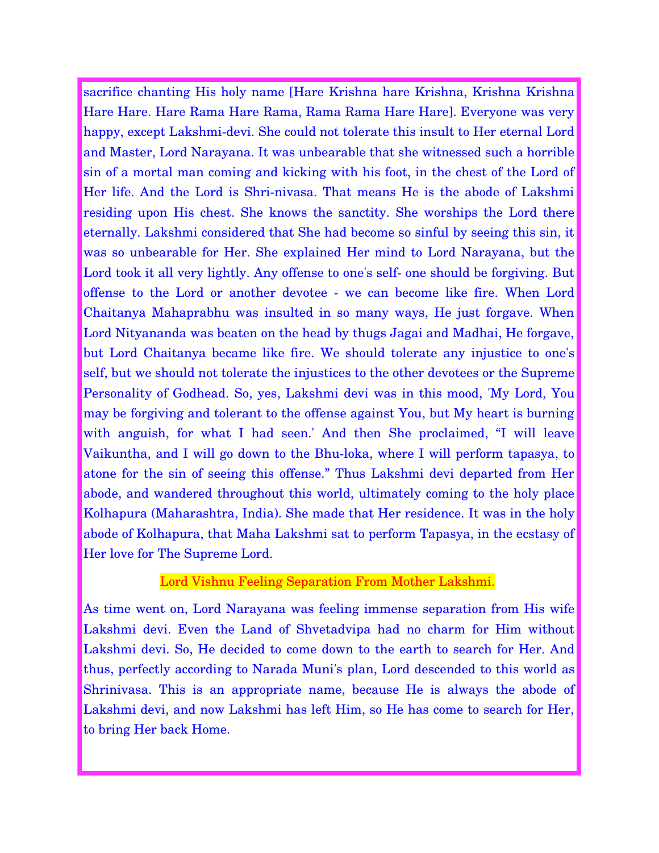sacrifice chanting His holy name [Hare Krishna hare Krishna, Krishna Krishna Hare Hare. Hare Rama Hare Rama, Rama Rama Hare Hare]. Everyone was very happy, except Lakshmi-devi. She could not tolerate this insult to Her eternal Lord and Master, Lord Narayana. It was unbearable that she witnessed such a horrible sin of a mortal man coming and kicking with his foot, in the chest of the Lord of Her life. And the Lord is Shri-nivasa. That means He is the abode of Lakshmi residing upon His chest. She knows the sanctity. She worships the Lord there eternally. Lakshmi considered that She had become so sinful by seeing this sin, it was so unbearable for Her. She explained Her mind to Lord Narayana, but the Lord took it all very lightly. Any offense to one's self- one should be forgiving. But offense to the Lord or another devotee - we can become like fire. When Lord Chaitanya Mahaprabhu was insulted in so many ways, He just forgave. When Lord Nityananda was beaten on the head by thugs Jagai and Madhai, He forgave, but Lord Chaitanya became like fire. We should tolerate any injustice to one's self, but we should not tolerate the injustices to the other devotees or the Supreme Personality of Godhead. So, yes, Lakshmi devi was in this mood, 'My Lord, You may be forgiving and tolerant to the offense against You, but My heart is burning with anguish, for what I had seen.' And then She proclaimed, "I will leave Vaikuntha, and I will go down to the Bhu-loka, where I will perform tapasya, to atone for the sin of seeing this offense." Thus Lakshmi devi departed from Her abode, and wandered throughout this world, ultimately coming to the holy place Kolhapura (Maharashtra, India). She made that Her residence. It was in the holy abode of Kolhapura, that Maha Lakshmi sat to perform Tapasya, in the ecstasy of Her love for The Supreme Lord.

# Lord Vishnu Feeling Separation From Mother Lakshmi.

As time went on, Lord Narayana was feeling immense separation from His wife Lakshmi devi. Even the Land of Shvetadvipa had no charm for Him without Lakshmi devi. So, He decided to come down to the earth to search for Her. And thus, perfectly according to Narada Muni's plan, Lord descended to this world as Shrinivasa. This is an appropriate name, because He is always the abode of Lakshmi devi, and now Lakshmi has left Him, so He has come to search for Her, to bring Her back Home.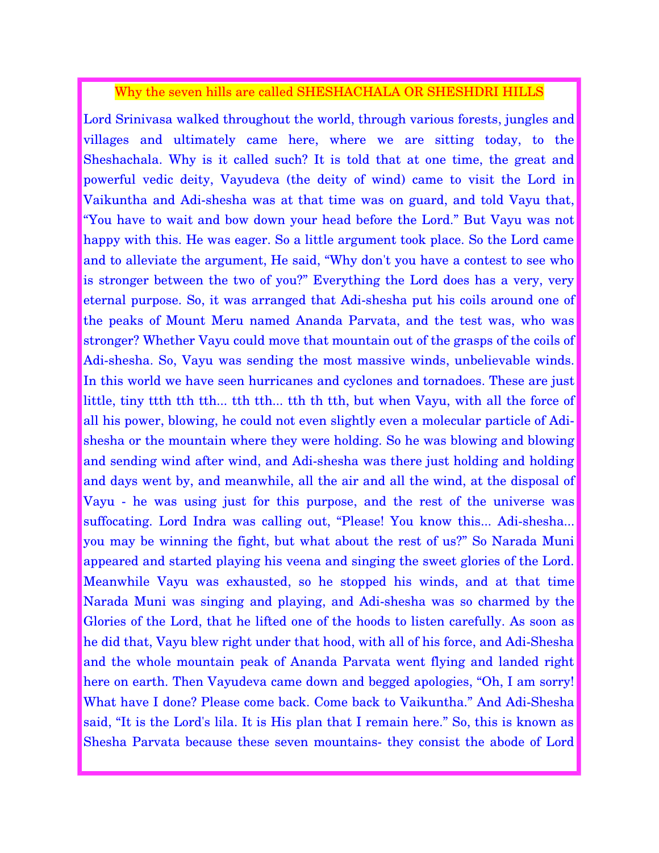# Why the seven hills are called SHESHACHALA OR SHESHDRI HILLS

Lord Srinivasa walked throughout the world, through various forests, jungles and villages and ultimately came here, where we are sitting today, to the Sheshachala. Why is it called such? It is told that at one time, the great and powerful vedic deity, Vayudeva (the deity of wind) came to visit the Lord in Vaikuntha and Adi-shesha was at that time was on guard, and told Vayu that, "You have to wait and bow down your head before the Lord." But Vayu was not happy with this. He was eager. So a little argument took place. So the Lord came and to alleviate the argument, He said, "Why don't you have a contest to see who is stronger between the two of you?" Everything the Lord does has a very, very eternal purpose. So, it was arranged that Adi-shesha put his coils around one of the peaks of Mount Meru named Ananda Parvata, and the test was, who was stronger? Whether Vayu could move that mountain out of the grasps of the coils of Adi-shesha. So, Vayu was sending the most massive winds, unbelievable winds. In this world we have seen hurricanes and cyclones and tornadoes. These are just little, tiny ttth tth tth... tth tth... tth th tth, but when Vayu, with all the force of all his power, blowing, he could not even slightly even a molecular particle of Adishesha or the mountain where they were holding. So he was blowing and blowing and sending wind after wind, and Adi-shesha was there just holding and holding and days went by, and meanwhile, all the air and all the wind, at the disposal of Vayu - he was using just for this purpose, and the rest of the universe was suffocating. Lord Indra was calling out, "Please! You know this... Adi-shesha... you may be winning the fight, but what about the rest of us?" So Narada Muni appeared and started playing his veena and singing the sweet glories of the Lord. Meanwhile Vayu was exhausted, so he stopped his winds, and at that time Narada Muni was singing and playing, and Adi-shesha was so charmed by the Glories of the Lord, that he lifted one of the hoods to listen carefully. As soon as he did that, Vayu blew right under that hood, with all of his force, and Adi-Shesha and the whole mountain peak of Ananda Parvata went flying and landed right here on earth. Then Vayudeva came down and begged apologies, "Oh, I am sorry! What have I done? Please come back. Come back to Vaikuntha." And Adi-Shesha said, "It is the Lord's lila. It is His plan that I remain here." So, this is known as Shesha Parvata because these seven mountains- they consist the abode of Lord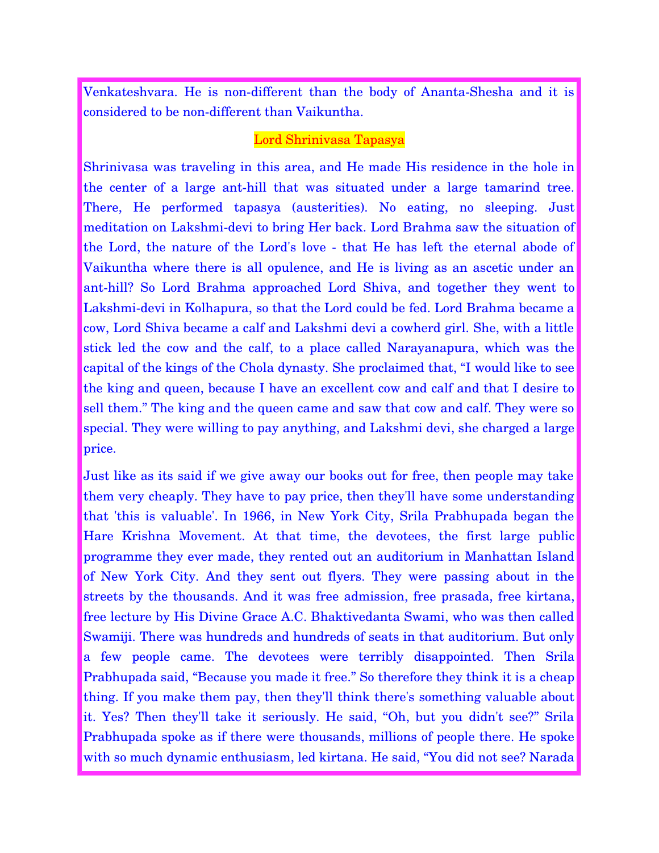Venkateshvara. He is non-different than the body of Ananta-Shesha and it is considered to be non-different than Vaikuntha.

#### Lord Shrinivasa Tapasya

Shrinivasa was traveling in this area, and He made His residence in the hole in the center of a large ant-hill that was situated under a large tamarind tree. There, He performed tapasya (austerities). No eating, no sleeping. Just meditation on Lakshmi-devi to bring Her back. Lord Brahma saw the situation of the Lord, the nature of the Lord's love - that He has left the eternal abode of Vaikuntha where there is all opulence, and He is living as an ascetic under an ant-hill? So Lord Brahma approached Lord Shiva, and together they went to Lakshmi-devi in Kolhapura, so that the Lord could be fed. Lord Brahma became a cow, Lord Shiva became a calf and Lakshmi devi a cowherd girl. She, with a little stick led the cow and the calf, to a place called Narayanapura, which was the capital of the kings of the Chola dynasty. She proclaimed that, "I would like to see the king and queen, because I have an excellent cow and calf and that I desire to sell them." The king and the queen came and saw that cow and calf. They were so special. They were willing to pay anything, and Lakshmi devi, she charged a large price.

Just like as its said if we give away our books out for free, then people may take them very cheaply. They have to pay price, then they'll have some understanding that 'this is valuable'. In 1966, in New York City, Srila Prabhupada began the Hare Krishna Movement. At that time, the devotees, the first large public programme they ever made, they rented out an auditorium in Manhattan Island of New York City. And they sent out flyers. They were passing about in the streets by the thousands. And it was free admission, free prasada, free kirtana, free lecture by His Divine Grace A.C. Bhaktivedanta Swami, who was then called Swamiji. There was hundreds and hundreds of seats in that auditorium. But only a few people came. The devotees were terribly disappointed. Then Srila Prabhupada said, "Because you made it free." So therefore they think it is a cheap thing. If you make them pay, then they'll think there's something valuable about it. Yes? Then they'll take it seriously. He said, "Oh, but you didn't see?" Srila Prabhupada spoke as if there were thousands, millions of people there. He spoke with so much dynamic enthusiasm, led kirtana. He said, "You did not see? Narada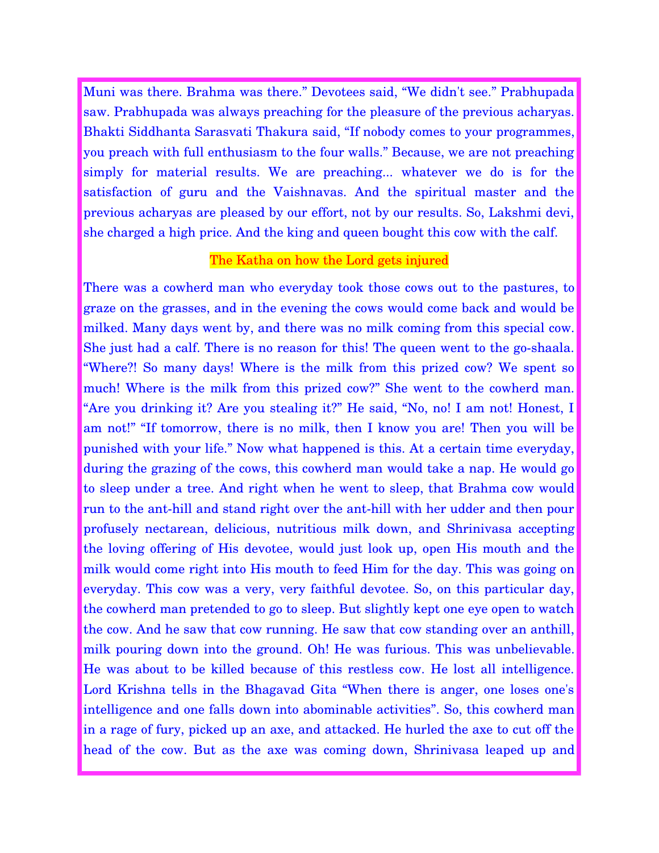Muni was there. Brahma was there." Devotees said, "We didn't see." Prabhupada saw. Prabhupada was always preaching for the pleasure of the previous acharyas. Bhakti Siddhanta Sarasvati Thakura said, "If nobody comes to your programmes, you preach with full enthusiasm to the four walls." Because, we are not preaching simply for material results. We are preaching... whatever we do is for the satisfaction of guru and the Vaishnavas. And the spiritual master and the previous acharyas are pleased by our effort, not by our results. So, Lakshmi devi, she charged a high price. And the king and queen bought this cow with the calf.

### The Katha on how the Lord gets injured

There was a cowherd man who everyday took those cows out to the pastures, to graze on the grasses, and in the evening the cows would come back and would be milked. Many days went by, and there was no milk coming from this special cow. She just had a calf. There is no reason for this! The queen went to the go-shaala. "Where?! So many days! Where is the milk from this prized cow? We spent so much! Where is the milk from this prized cow?" She went to the cowherd man. "Are you drinking it? Are you stealing it?" He said, "No, no! I am not! Honest, I am not!" "If tomorrow, there is no milk, then I know you are! Then you will be punished with your life." Now what happened is this. At a certain time everyday, during the grazing of the cows, this cowherd man would take a nap. He would go to sleep under a tree. And right when he went to sleep, that Brahma cow would run to the ant-hill and stand right over the ant-hill with her udder and then pour profusely nectarean, delicious, nutritious milk down, and Shrinivasa accepting the loving offering of His devotee, would just look up, open His mouth and the milk would come right into His mouth to feed Him for the day. This was going on everyday. This cow was a very, very faithful devotee. So, on this particular day, the cowherd man pretended to go to sleep. But slightly kept one eye open to watch the cow. And he saw that cow running. He saw that cow standing over an anthill, milk pouring down into the ground. Oh! He was furious. This was unbelievable. He was about to be killed because of this restless cow. He lost all intelligence. Lord Krishna tells in the Bhagavad Gita "When there is anger, one loses one's intelligence and one falls down into abominable activities". So, this cowherd man in a rage of fury, picked up an axe, and attacked. He hurled the axe to cut off the head of the cow. But as the axe was coming down, Shrinivasa leaped up and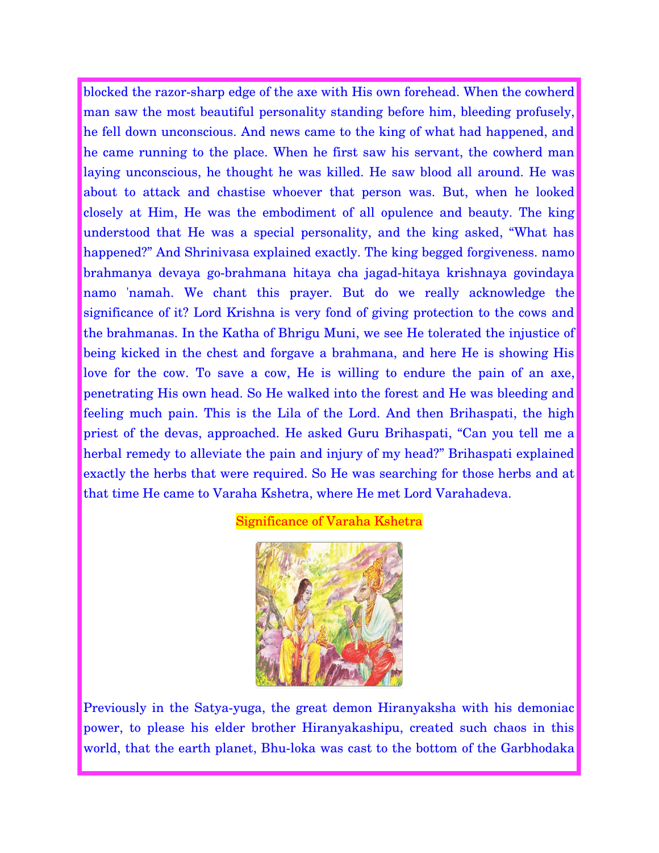blocked the razor-sharp edge of the axe with His own forehead. When the cowherd man saw the most beautiful personality standing before him, bleeding profusely, he fell down unconscious. And news came to the king of what had happened, and he came running to the place. When he first saw his servant, the cowherd man laying unconscious, he thought he was killed. He saw blood all around. He was about to attack and chastise whoever that person was. But, when he looked closely at Him, He was the embodiment of all opulence and beauty. The king understood that He was a special personality, and the king asked, "What has happened?" And Shrinivasa explained exactly. The king begged forgiveness. namo brahmanya devaya go-brahmana hitaya cha jagad-hitaya krishnaya govindaya namo 'namah. We chant this prayer. But do we really acknowledge the significance of it? Lord Krishna is very fond of giving protection to the cows and the brahmanas. In the Katha of Bhrigu Muni, we see He tolerated the injustice of being kicked in the chest and forgave a brahmana, and here He is showing His love for the cow. To save a cow, He is willing to endure the pain of an axe, penetrating His own head. So He walked into the forest and He was bleeding and feeling much pain. This is the Lila of the Lord. And then Brihaspati, the high priest of the devas, approached. He asked Guru Brihaspati, "Can you tell me a herbal remedy to alleviate the pain and injury of my head?" Brihaspati explained exactly the herbs that were required. So He was searching for those herbs and at that time He came to Varaha Kshetra, where He met Lord Varahadeva.

#### Significance of Varaha Kshetra



Previously in the Satya-yuga, the great demon Hiranyaksha with his demoniac power, to please his elder brother Hiranyakashipu, created such chaos in this world, that the earth planet, Bhu-loka was cast to the bottom of the Garbhodaka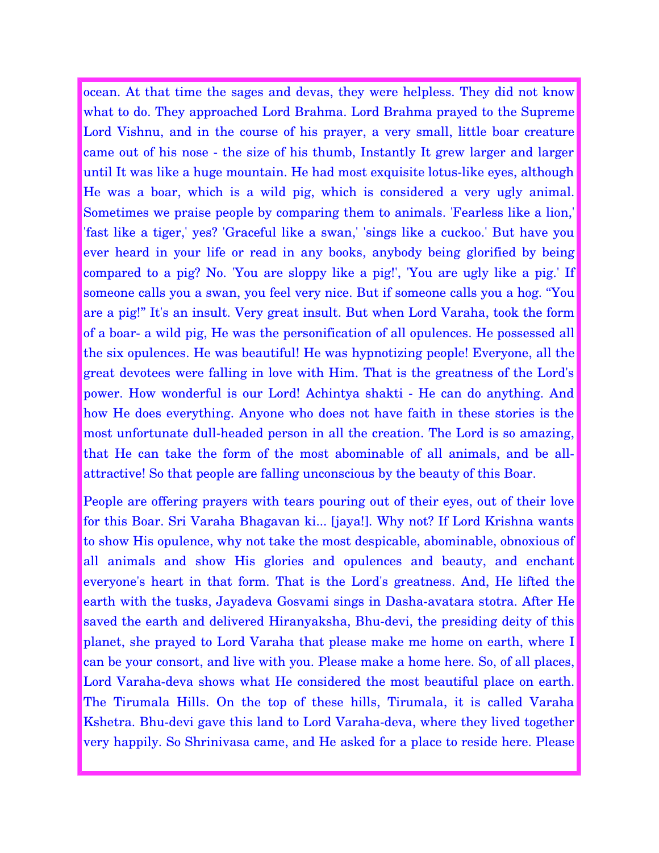ocean. At that time the sages and devas, they were helpless. They did not know what to do. They approached Lord Brahma. Lord Brahma prayed to the Supreme Lord Vishnu, and in the course of his prayer, a very small, little boar creature came out of his nose - the size of his thumb, Instantly It grew larger and larger until It was like a huge mountain. He had most exquisite lotus-like eyes, although He was a boar, which is a wild pig, which is considered a very ugly animal. Sometimes we praise people by comparing them to animals. 'Fearless like a lion,' 'fast like a tiger,' yes? 'Graceful like a swan,' 'sings like a cuckoo.' But have you ever heard in your life or read in any books, anybody being glorified by being compared to a pig? No. 'You are sloppy like a pig!', 'You are ugly like a pig.' If someone calls you a swan, you feel very nice. But if someone calls you a hog. "You are a pig!" It's an insult. Very great insult. But when Lord Varaha, took the form of a boar- a wild pig, He was the personification of all opulences. He possessed all the six opulences. He was beautiful! He was hypnotizing people! Everyone, all the great devotees were falling in love with Him. That is the greatness of the Lord's power. How wonderful is our Lord! Achintya shakti - He can do anything. And how He does everything. Anyone who does not have faith in these stories is the most unfortunate dull-headed person in all the creation. The Lord is so amazing, that He can take the form of the most abominable of all animals, and be allattractive! So that people are falling unconscious by the beauty of this Boar.

People are offering prayers with tears pouring out of their eyes, out of their love for this Boar. Sri Varaha Bhagavan ki... [jaya!]. Why not? If Lord Krishna wants to show His opulence, why not take the most despicable, abominable, obnoxious of all animals and show His glories and opulences and beauty, and enchant everyone's heart in that form. That is the Lord's greatness. And, He lifted the earth with the tusks, Jayadeva Gosvami sings in Dasha-avatara stotra. After He saved the earth and delivered Hiranyaksha, Bhu-devi, the presiding deity of this planet, she prayed to Lord Varaha that please make me home on earth, where I can be your consort, and live with you. Please make a home here. So, of all places, Lord Varaha-deva shows what He considered the most beautiful place on earth. The Tirumala Hills. On the top of these hills, Tirumala, it is called Varaha Kshetra. Bhu-devi gave this land to Lord Varaha-deva, where they lived together very happily. So Shrinivasa came, and He asked for a place to reside here. Please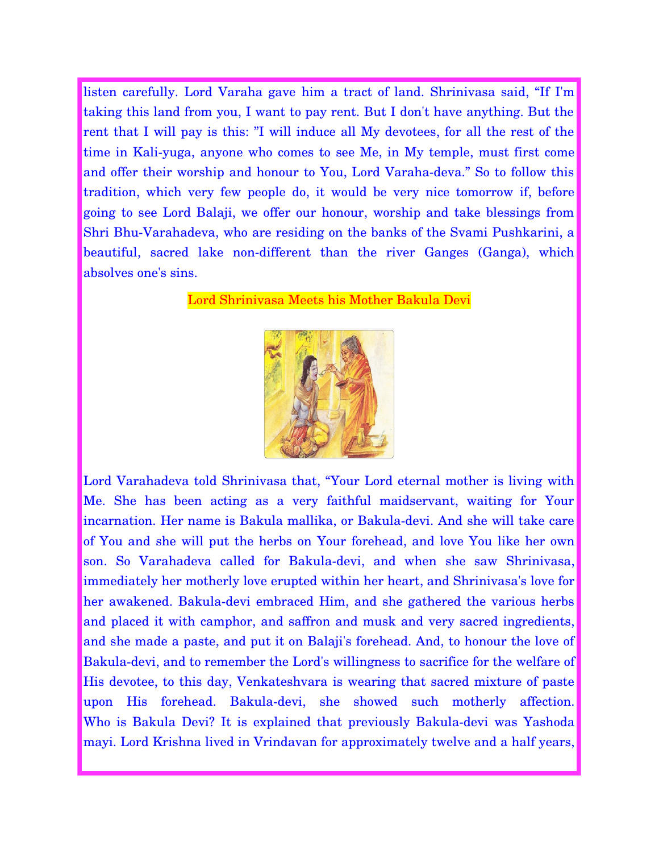listen carefully. Lord Varaha gave him a tract of land. Shrinivasa said, "If I'm taking this land from you, I want to pay rent. But I don't have anything. But the rent that I will pay is this: "I will induce all My devotees, for all the rest of the time in Kali-yuga, anyone who comes to see Me, in My temple, must first come and offer their worship and honour to You, Lord Varaha-deva." So to follow this tradition, which very few people do, it would be very nice tomorrow if, before going to see Lord Balaji, we offer our honour, worship and take blessings from Shri Bhu-Varahadeva, who are residing on the banks of the Svami Pushkarini, a beautiful, sacred lake non-different than the river Ganges (Ganga), which absolves one's sins.

Lord Shrinivasa Meets his Mother Bakula Devi



Lord Varahadeva told Shrinivasa that, "Your Lord eternal mother is living with Me. She has been acting as a very faithful maidservant, waiting for Your incarnation. Her name is Bakula mallika, or Bakula-devi. And she will take care of You and she will put the herbs on Your forehead, and love You like her own son. So Varahadeva called for Bakula-devi, and when she saw Shrinivasa, immediately her motherly love erupted within her heart, and Shrinivasa's love for her awakened. Bakula-devi embraced Him, and she gathered the various herbs and placed it with camphor, and saffron and musk and very sacred ingredients, and she made a paste, and put it on Balaji's forehead. And, to honour the love of Bakula-devi, and to remember the Lord's willingness to sacrifice for the welfare of His devotee, to this day, Venkateshvara is wearing that sacred mixture of paste upon His forehead. Bakula-devi, she showed such motherly affection. Who is Bakula Devi? It is explained that previously Bakula-devi was Yashoda mayi. Lord Krishna lived in Vrindavan for approximately twelve and a half years,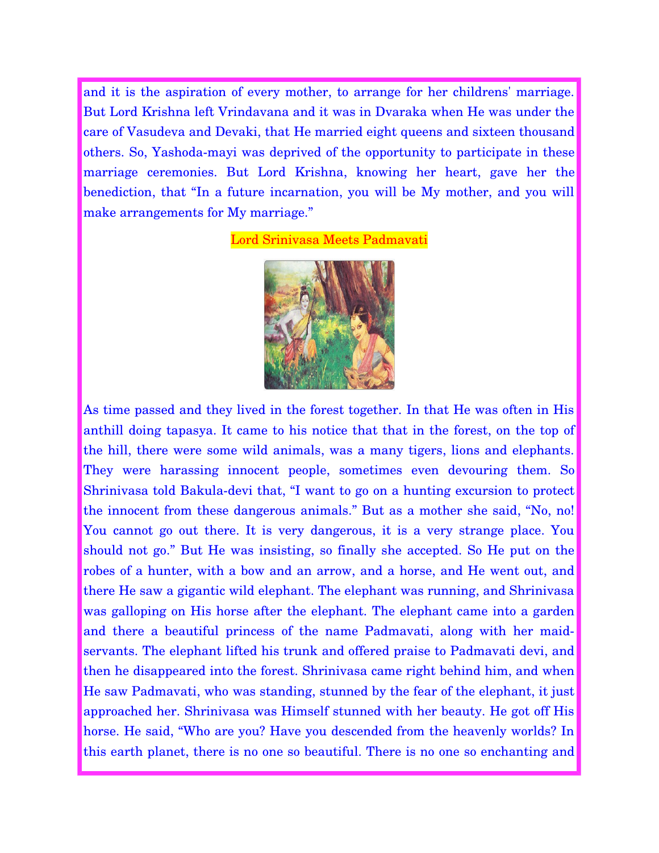and it is the aspiration of every mother, to arrange for her childrens' marriage. But Lord Krishna left Vrindavana and it was in Dvaraka when He was under the care of Vasudeva and Devaki, that He married eight queens and sixteen thousand others. So, Yashoda-mayi was deprived of the opportunity to participate in these marriage ceremonies. But Lord Krishna, knowing her heart, gave her the benediction, that "In a future incarnation, you will be My mother, and you will make arrangements for My marriage."

#### Lord Srinivasa Meets Padmavati



As time passed and they lived in the forest together. In that He was often in His anthill doing tapasya. It came to his notice that that in the forest, on the top of the hill, there were some wild animals, was a many tigers, lions and elephants. They were harassing innocent people, sometimes even devouring them. So Shrinivasa told Bakula-devi that, "I want to go on a hunting excursion to protect the innocent from these dangerous animals." But as a mother she said, "No, no! You cannot go out there. It is very dangerous, it is a very strange place. You should not go." But He was insisting, so finally she accepted. So He put on the robes of a hunter, with a bow and an arrow, and a horse, and He went out, and there He saw a gigantic wild elephant. The elephant was running, and Shrinivasa was galloping on His horse after the elephant. The elephant came into a garden and there a beautiful princess of the name Padmavati, along with her maidservants. The elephant lifted his trunk and offered praise to Padmavati devi, and then he disappeared into the forest. Shrinivasa came right behind him, and when He saw Padmavati, who was standing, stunned by the fear of the elephant, it just approached her. Shrinivasa was Himself stunned with her beauty. He got off His horse. He said, "Who are you? Have you descended from the heavenly worlds? In this earth planet, there is no one so beautiful. There is no one so enchanting and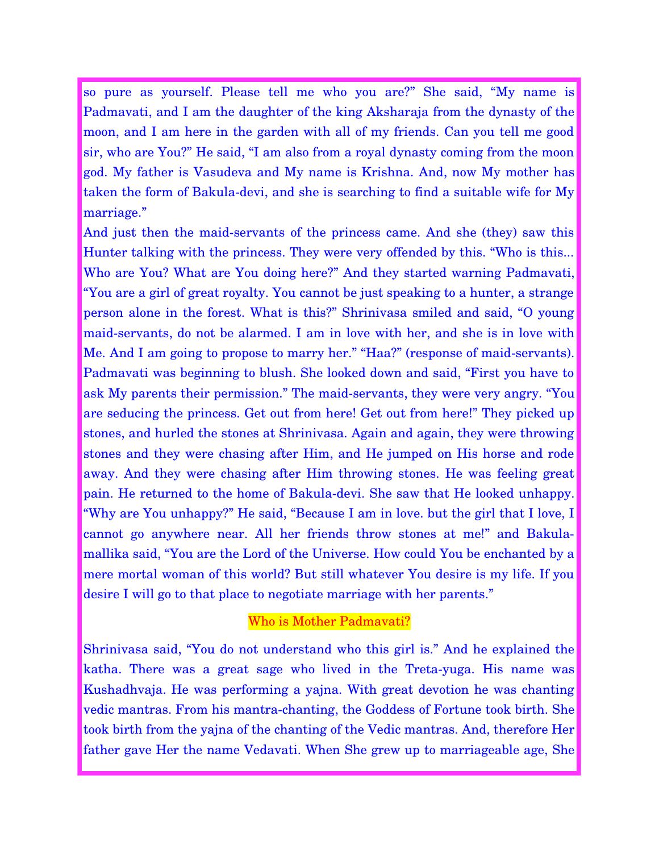so pure as yourself. Please tell me who you are?" She said, "My name is Padmavati, and I am the daughter of the king Aksharaja from the dynasty of the moon, and I am here in the garden with all of my friends. Can you tell me good sir, who are You?" He said, "I am also from a royal dynasty coming from the moon god. My father is Vasudeva and My name is Krishna. And, now My mother has taken the form of Bakula-devi, and she is searching to find a suitable wife for My marriage."

And just then the maid-servants of the princess came. And she (they) saw this Hunter talking with the princess. They were very offended by this. "Who is this... Who are You? What are You doing here?" And they started warning Padmavati, "You are a girl of great royalty. You cannot be just speaking to a hunter, a strange person alone in the forest. What is this?" Shrinivasa smiled and said, "O young maid-servants, do not be alarmed. I am in love with her, and she is in love with Me. And I am going to propose to marry her." "Haa?" (response of maid-servants). Padmavati was beginning to blush. She looked down and said, "First you have to ask My parents their permission." The maid-servants, they were very angry. "You are seducing the princess. Get out from here! Get out from here!" They picked up stones, and hurled the stones at Shrinivasa. Again and again, they were throwing stones and they were chasing after Him, and He jumped on His horse and rode away. And they were chasing after Him throwing stones. He was feeling great pain. He returned to the home of Bakula-devi. She saw that He looked unhappy. "Why are You unhappy?" He said, "Because I am in love. but the girl that I love, I cannot go anywhere near. All her friends throw stones at me!" and Bakulamallika said, "You are the Lord of the Universe. How could You be enchanted by a mere mortal woman of this world? But still whatever You desire is my life. If you desire I will go to that place to negotiate marriage with her parents."

# Who is Mother Padmavati?

Shrinivasa said, "You do not understand who this girl is." And he explained the katha. There was a great sage who lived in the Treta-yuga. His name was Kushadhvaja. He was performing a yajna. With great devotion he was chanting vedic mantras. From his mantra-chanting, the Goddess of Fortune took birth. She took birth from the yajna of the chanting of the Vedic mantras. And, therefore Her father gave Her the name Vedavati. When She grew up to marriageable age, She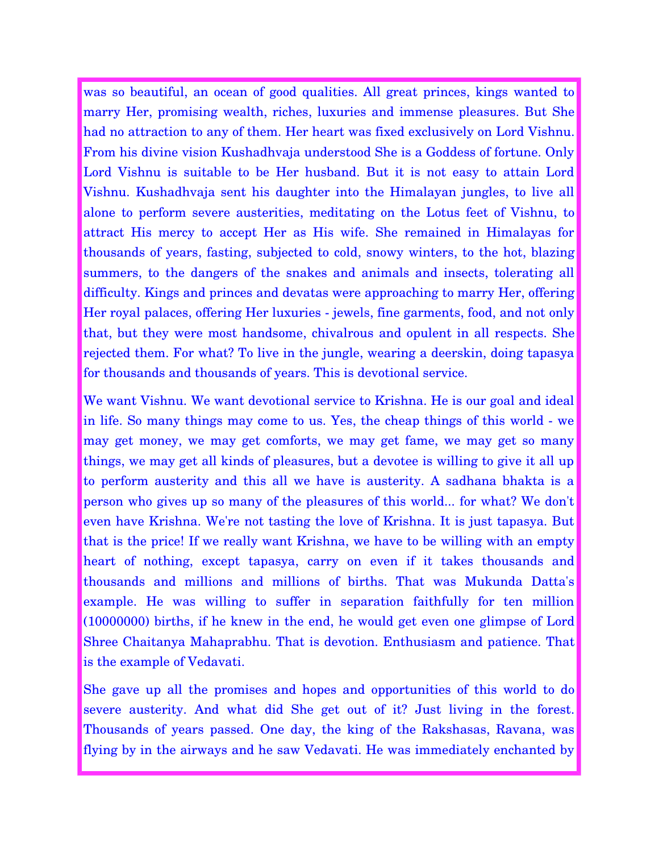was so beautiful, an ocean of good qualities. All great princes, kings wanted to marry Her, promising wealth, riches, luxuries and immense pleasures. But She had no attraction to any of them. Her heart was fixed exclusively on Lord Vishnu. From his divine vision Kushadhvaja understood She is a Goddess of fortune. Only Lord Vishnu is suitable to be Her husband. But it is not easy to attain Lord Vishnu. Kushadhvaja sent his daughter into the Himalayan jungles, to live all alone to perform severe austerities, meditating on the Lotus feet of Vishnu, to attract His mercy to accept Her as His wife. She remained in Himalayas for thousands of years, fasting, subjected to cold, snowy winters, to the hot, blazing summers, to the dangers of the snakes and animals and insects, tolerating all difficulty. Kings and princes and devatas were approaching to marry Her, offering Her royal palaces, offering Her luxuries - jewels, fine garments, food, and not only that, but they were most handsome, chivalrous and opulent in all respects. She rejected them. For what? To live in the jungle, wearing a deerskin, doing tapasya for thousands and thousands of years. This is devotional service.

We want Vishnu. We want devotional service to Krishna. He is our goal and ideal in life. So many things may come to us. Yes, the cheap things of this world - we may get money, we may get comforts, we may get fame, we may get so many things, we may get all kinds of pleasures, but a devotee is willing to give it all up to perform austerity and this all we have is austerity. A sadhana bhakta is a person who gives up so many of the pleasures of this world... for what? We don't even have Krishna. We're not tasting the love of Krishna. It is just tapasya. But that is the price! If we really want Krishna, we have to be willing with an empty heart of nothing, except tapasya, carry on even if it takes thousands and thousands and millions and millions of births. That was Mukunda Datta's example. He was willing to suffer in separation faithfully for ten million (10000000) births, if he knew in the end, he would get even one glimpse of Lord Shree Chaitanya Mahaprabhu. That is devotion. Enthusiasm and patience. That is the example of Vedavati.

She gave up all the promises and hopes and opportunities of this world to do severe austerity. And what did She get out of it? Just living in the forest. Thousands of years passed. One day, the king of the Rakshasas, Ravana, was flying by in the airways and he saw Vedavati. He was immediately enchanted by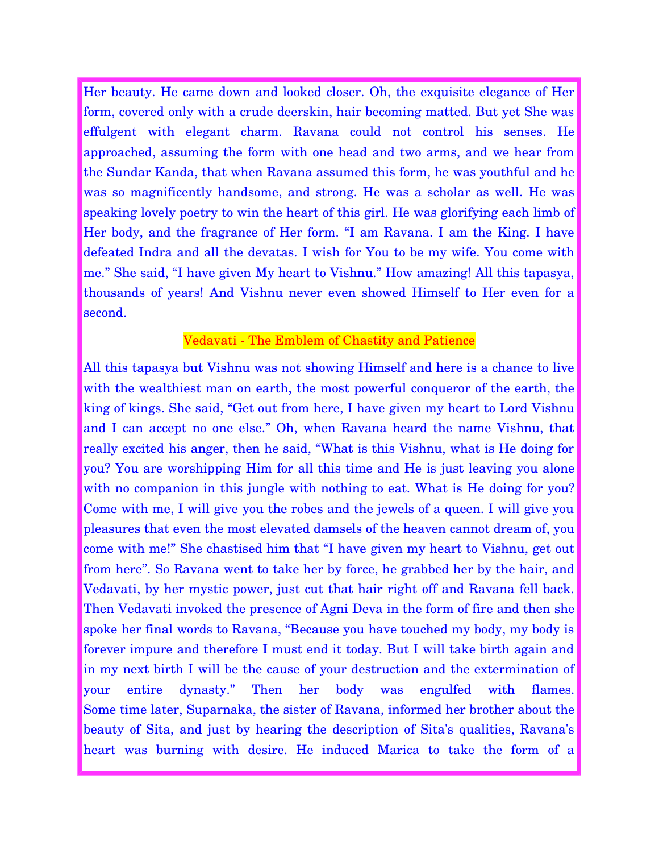Her beauty. He came down and looked closer. Oh, the exquisite elegance of Her form, covered only with a crude deerskin, hair becoming matted. But yet She was effulgent with elegant charm. Ravana could not control his senses. He approached, assuming the form with one head and two arms, and we hear from the Sundar Kanda, that when Ravana assumed this form, he was youthful and he was so magnificently handsome, and strong. He was a scholar as well. He was speaking lovely poetry to win the heart of this girl. He was glorifying each limb of Her body, and the fragrance of Her form. "I am Ravana. I am the King. I have defeated Indra and all the devatas. I wish for You to be my wife. You come with me." She said, "I have given My heart to Vishnu." How amazing! All this tapasya, thousands of years! And Vishnu never even showed Himself to Her even for a second.

### Vedavati - The Emblem of Chastity and Patience

All this tapasya but Vishnu was not showing Himself and here is a chance to live with the wealthiest man on earth, the most powerful conqueror of the earth, the king of kings. She said, "Get out from here, I have given my heart to Lord Vishnu and I can accept no one else." Oh, when Ravana heard the name Vishnu, that really excited his anger, then he said, "What is this Vishnu, what is He doing for you? You are worshipping Him for all this time and He is just leaving you alone with no companion in this jungle with nothing to eat. What is He doing for you? Come with me, I will give you the robes and the jewels of a queen. I will give you pleasures that even the most elevated damsels of the heaven cannot dream of, you come with me!" She chastised him that "I have given my heart to Vishnu, get out from here". So Ravana went to take her by force, he grabbed her by the hair, and Vedavati, by her mystic power, just cut that hair right off and Ravana fell back. Then Vedavati invoked the presence of Agni Deva in the form of fire and then she spoke her final words to Ravana, "Because you have touched my body, my body is forever impure and therefore I must end it today. But I will take birth again and in my next birth I will be the cause of your destruction and the extermination of your entire dynasty." Then her body was engulfed with flames. Some time later, Suparnaka, the sister of Ravana, informed her brother about the beauty of Sita, and just by hearing the description of Sita's qualities, Ravana's heart was burning with desire. He induced Marica to take the form of a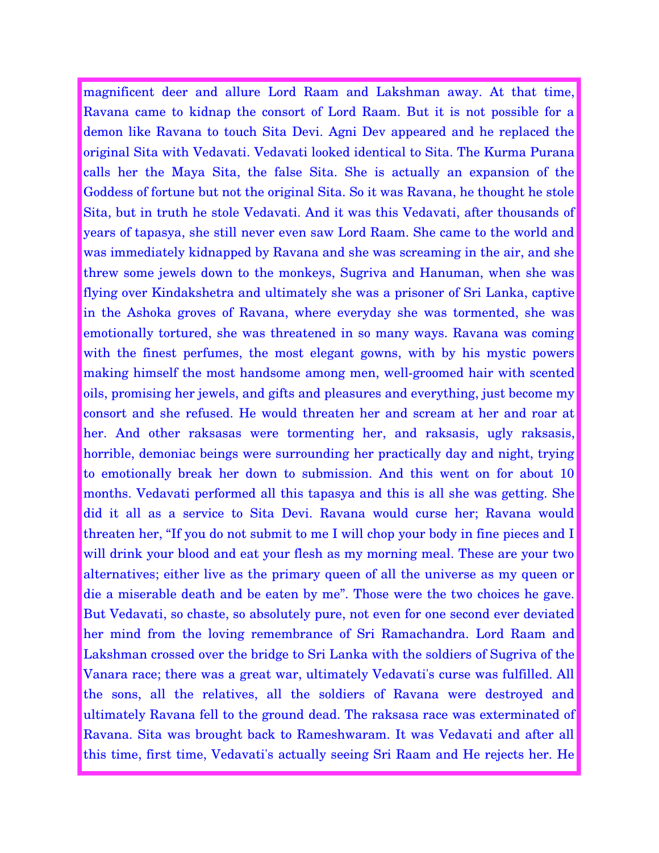magnificent deer and allure Lord Raam and Lakshman away. At that time, Ravana came to kidnap the consort of Lord Raam. But it is not possible for a demon like Ravana to touch Sita Devi. Agni Dev appeared and he replaced the original Sita with Vedavati. Vedavati looked identical to Sita. The Kurma Purana calls her the Maya Sita, the false Sita. She is actually an expansion of the Goddess of fortune but not the original Sita. So it was Ravana, he thought he stole Sita, but in truth he stole Vedavati. And it was this Vedavati, after thousands of years of tapasya, she still never even saw Lord Raam. She came to the world and was immediately kidnapped by Ravana and she was screaming in the air, and she threw some jewels down to the monkeys, Sugriva and Hanuman, when she was flying over Kindakshetra and ultimately she was a prisoner of Sri Lanka, captive in the Ashoka groves of Ravana, where everyday she was tormented, she was emotionally tortured, she was threatened in so many ways. Ravana was coming with the finest perfumes, the most elegant gowns, with by his mystic powers making himself the most handsome among men, well-groomed hair with scented oils, promising her jewels, and gifts and pleasures and everything, just become my consort and she refused. He would threaten her and scream at her and roar at her. And other raksasas were tormenting her, and raksasis, ugly raksasis, horrible, demoniac beings were surrounding her practically day and night, trying to emotionally break her down to submission. And this went on for about 10 months. Vedavati performed all this tapasya and this is all she was getting. She did it all as a service to Sita Devi. Ravana would curse her; Ravana would threaten her, "If you do not submit to me I will chop your body in fine pieces and I will drink your blood and eat your flesh as my morning meal. These are your two alternatives; either live as the primary queen of all the universe as my queen or die a miserable death and be eaten by me". Those were the two choices he gave. But Vedavati, so chaste, so absolutely pure, not even for one second ever deviated her mind from the loving remembrance of Sri Ramachandra. Lord Raam and Lakshman crossed over the bridge to Sri Lanka with the soldiers of Sugriva of the Vanara race; there was a great war, ultimately Vedavati's curse was fulfilled. All the sons, all the relatives, all the soldiers of Ravana were destroyed and ultimately Ravana fell to the ground dead. The raksasa race was exterminated of Ravana. Sita was brought back to Rameshwaram. It was Vedavati and after all this time, first time, Vedavati's actually seeing Sri Raam and He rejects her. He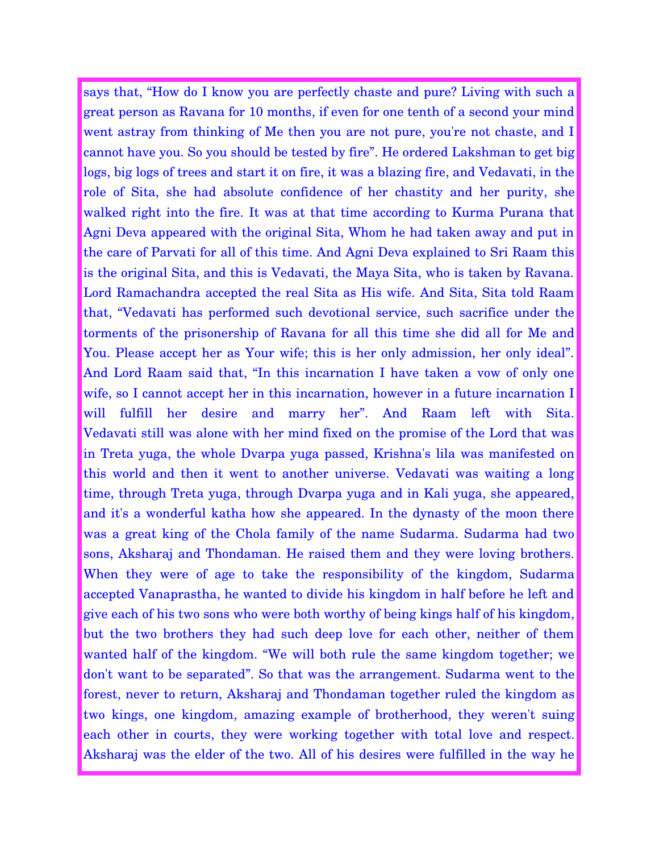says that, "How do I know you are perfectly chaste and pure? Living with such a great person as Ravana for 10 months, if even for one tenth of a second your mind went astray from thinking of Me then you are not pure, you're not chaste, and I cannot have you. So you should be tested by fire". He ordered Lakshman to get big logs, big logs of trees and start it on fire, it was a blazing fire, and Vedavati, in the role of Sita, she had absolute confidence of her chastity and her purity, she walked right into the fire. It was at that time according to Kurma Purana that Agni Deva appeared with the original Sita, Whom he had taken away and put in the care of Parvati for all of this time. And Agni Deva explained to Sri Raam this is the original Sita, and this is Vedavati, the Maya Sita, who is taken by Ravana. Lord Ramachandra accepted the real Sita as His wife. And Sita, Sita told Raam that, "Vedavati has performed such devotional service, such sacrifice under the torments of the prisonership of Ravana for all this time she did all for Me and You. Please accept her as Your wife; this is her only admission, her only ideal". And Lord Raam said that, "In this incarnation I have taken a vow of only one wife, so I cannot accept her in this incarnation, however in a future incarnation I will fulfill her desire and marry her". And Raam left with Sita. Vedavati still was alone with her mind fixed on the promise of the Lord that was in Treta yuga, the whole Dvarpa yuga passed, Krishna's lila was manifested on this world and then it went to another universe. Vedavati was waiting a long time, through Treta yuga, through Dvarpa yuga and in Kali yuga, she appeared, and it's a wonderful katha how she appeared. In the dynasty of the moon there was a great king of the Chola family of the name Sudarma. Sudarma had two sons, Aksharaj and Thondaman. He raised them and they were loving brothers. When they were of age to take the responsibility of the kingdom, Sudarma accepted Vanaprastha, he wanted to divide his kingdom in half before he left and give each of his two sons who were both worthy of being kings half of his kingdom, but the two brothers they had such deep love for each other, neither of them wanted half of the kingdom. "We will both rule the same kingdom together; we don't want to be separated". So that was the arrangement. Sudarma went to the forest, never to return, Aksharaj and Thondaman together ruled the kingdom as two kings, one kingdom, amazing example of brotherhood, they weren't suing each other in courts, they were working together with total love and respect. Aksharaj was the elder of the two. All of his desires were fulfilled in the way he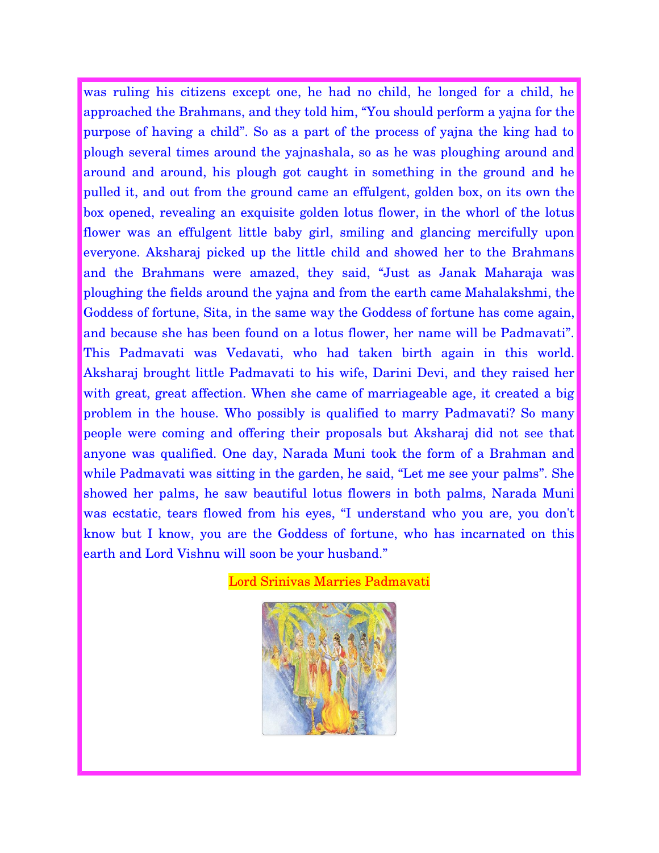was ruling his citizens except one, he had no child, he longed for a child, he approached the Brahmans, and they told him, "You should perform a yajna for the purpose of having a child". So as a part of the process of yajna the king had to plough several times around the yajnashala, so as he was ploughing around and around and around, his plough got caught in something in the ground and he pulled it, and out from the ground came an effulgent, golden box, on its own the box opened, revealing an exquisite golden lotus flower, in the whorl of the lotus flower was an effulgent little baby girl, smiling and glancing mercifully upon everyone. Aksharaj picked up the little child and showed her to the Brahmans and the Brahmans were amazed, they said, "Just as Janak Maharaja was ploughing the fields around the yajna and from the earth came Mahalakshmi, the Goddess of fortune, Sita, in the same way the Goddess of fortune has come again, and because she has been found on a lotus flower, her name will be Padmavati". This Padmavati was Vedavati, who had taken birth again in this world. Aksharaj brought little Padmavati to his wife, Darini Devi, and they raised her with great, great affection. When she came of marriageable age, it created a big problem in the house. Who possibly is qualified to marry Padmavati? So many people were coming and offering their proposals but Aksharaj did not see that anyone was qualified. One day, Narada Muni took the form of a Brahman and while Padmavati was sitting in the garden, he said, "Let me see your palms". She showed her palms, he saw beautiful lotus flowers in both palms, Narada Muni was ecstatic, tears flowed from his eyes, "I understand who you are, you don't know but I know, you are the Goddess of fortune, who has incarnated on this earth and Lord Vishnu will soon be your husband."



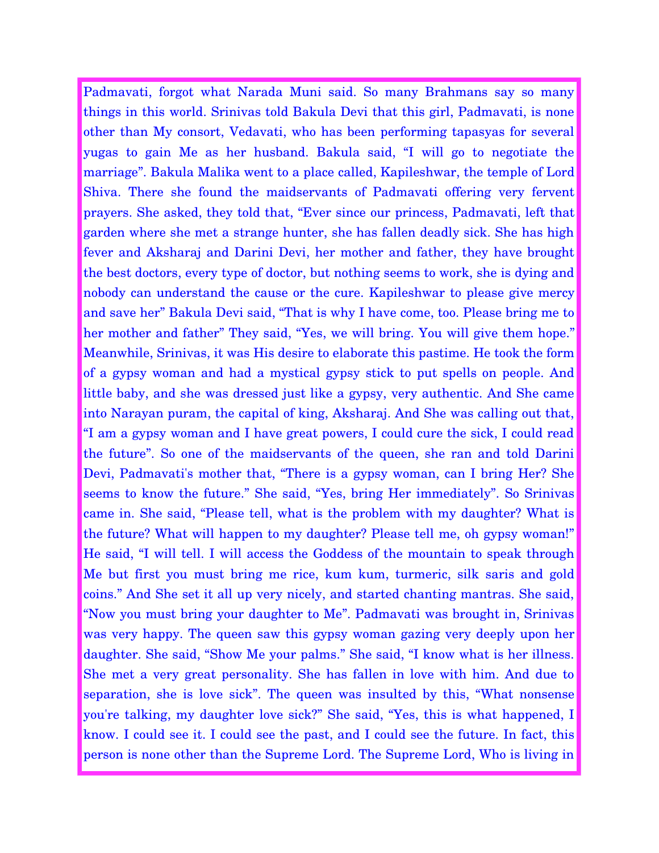Padmavati, forgot what Narada Muni said. So many Brahmans say so many things in this world. Srinivas told Bakula Devi that this girl, Padmavati, is none other than My consort, Vedavati, who has been performing tapasyas for several yugas to gain Me as her husband. Bakula said, "I will go to negotiate the marriage". Bakula Malika went to a place called, Kapileshwar, the temple of Lord Shiva. There she found the maidservants of Padmavati offering very fervent prayers. She asked, they told that, "Ever since our princess, Padmavati, left that garden where she met a strange hunter, she has fallen deadly sick. She has high fever and Aksharaj and Darini Devi, her mother and father, they have brought the best doctors, every type of doctor, but nothing seems to work, she is dying and nobody can understand the cause or the cure. Kapileshwar to please give mercy and save her" Bakula Devi said, "That is why I have come, too. Please bring me to her mother and father" They said, "Yes, we will bring. You will give them hope." Meanwhile, Srinivas, it was His desire to elaborate this pastime. He took the form of a gypsy woman and had a mystical gypsy stick to put spells on people. And little baby, and she was dressed just like a gypsy, very authentic. And She came into Narayan puram, the capital of king, Aksharaj. And She was calling out that, "I am a gypsy woman and I have great powers, I could cure the sick, I could read the future". So one of the maidservants of the queen, she ran and told Darini Devi, Padmavati's mother that, "There is a gypsy woman, can I bring Her? She seems to know the future." She said, "Yes, bring Her immediately". So Srinivas came in. She said, "Please tell, what is the problem with my daughter? What is the future? What will happen to my daughter? Please tell me, oh gypsy woman!" He said, "I will tell. I will access the Goddess of the mountain to speak through Me but first you must bring me rice, kum kum, turmeric, silk saris and gold coins." And She set it all up very nicely, and started chanting mantras. She said, "Now you must bring your daughter to Me". Padmavati was brought in, Srinivas was very happy. The queen saw this gypsy woman gazing very deeply upon her daughter. She said, "Show Me your palms." She said, "I know what is her illness. She met a very great personality. She has fallen in love with him. And due to separation, she is love sick". The queen was insulted by this, "What nonsense you're talking, my daughter love sick?" She said, "Yes, this is what happened, I know. I could see it. I could see the past, and I could see the future. In fact, this person is none other than the Supreme Lord. The Supreme Lord, Who is living in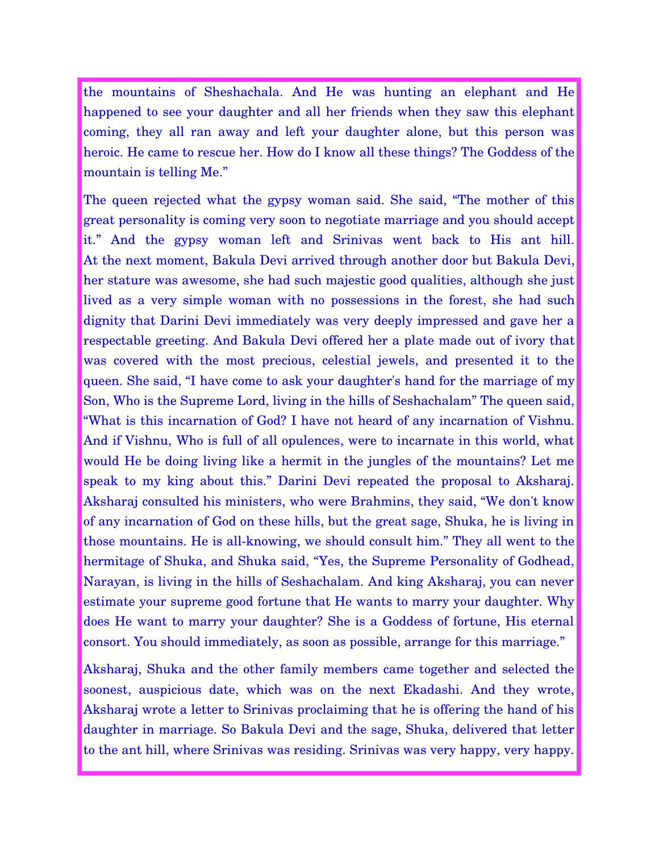the mountains of Sheshachala. And He was hunting an elephant and He happened to see your daughter and all her friends when they saw this elephant coming, they all ran away and left your daughter alone, but this person was heroic. He came to rescue her. How do I know all these things? The Goddess of the mountain is telling Me."

The queen rejected what the gypsy woman said. She said, "The mother of this great personality is coming very soon to negotiate marriage and you should accept it." And the gypsy woman left and Srinivas went back to His ant hill. At the next moment, Bakula Devi arrived through another door but Bakula Devi, her stature was awesome, she had such majestic good qualities, although she just lived as a very simple woman with no possessions in the forest, she had such dignity that Darini Devi immediately was very deeply impressed and gave her a respectable greeting. And Bakula Devi offered her a plate made out of ivory that was covered with the most precious, celestial jewels, and presented it to the queen. She said, "I have come to ask your daughter's hand for the marriage of my Son, Who is the Supreme Lord, living in the hills of Seshachalam" The queen said, "What is this incarnation of God? I have not heard of any incarnation of Vishnu. And if Vishnu, Who is full of all opulences, were to incarnate in this world, what would He be doing living like a hermit in the jungles of the mountains? Let me speak to my king about this." Darini Devi repeated the proposal to Aksharaj. Aksharaj consulted his ministers, who were Brahmins, they said, "We don't know of any incarnation of God on these hills, but the great sage, Shuka, he is living in those mountains. He is all-knowing, we should consult him." They all went to the hermitage of Shuka, and Shuka said, "Yes, the Supreme Personality of Godhead, Narayan, is living in the hills of Seshachalam. And king Aksharaj, you can never estimate your supreme good fortune that He wants to marry your daughter. Why does He want to marry your daughter? She is a Goddess of fortune, His eternal consort. You should immediately, as soon as possible, arrange for this marriage."

Aksharaj, Shuka and the other family members came together and selected the soonest, auspicious date, which was on the next Ekadashi. And they wrote, Aksharaj wrote a letter to Srinivas proclaiming that he is offering the hand of his daughter in marriage. So Bakula Devi and the sage, Shuka, delivered that letter to the ant hill, where Srinivas was residing. Srinivas was very happy, very happy.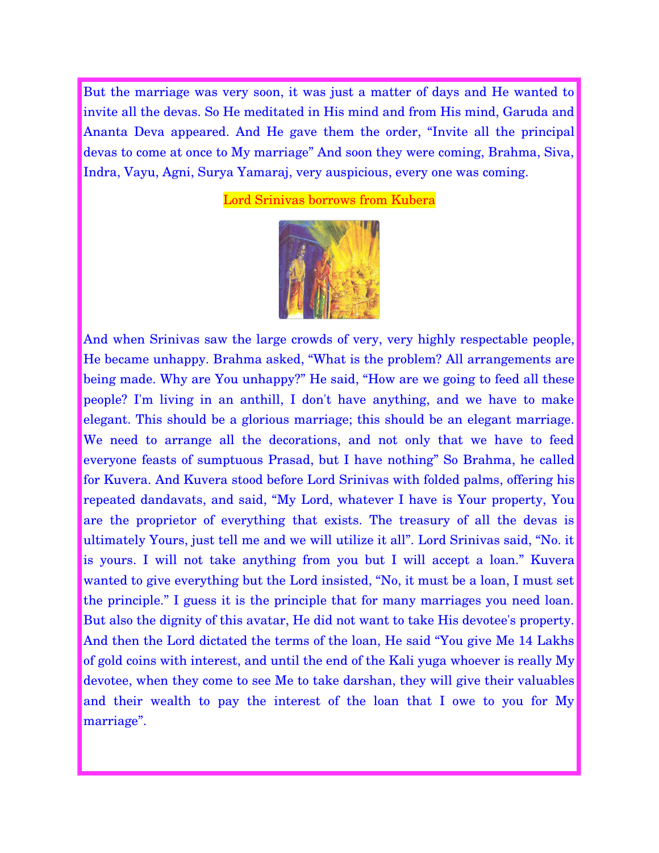But the marriage was very soon, it was just a matter of days and He wanted to invite all the devas. So He meditated in His mind and from His mind, Garuda and Ananta Deva appeared. And He gave them the order, "Invite all the principal devas to come at once to My marriage" And soon they were coming, Brahma, Siva, Indra, Vayu, Agni, Surya Yamaraj, very auspicious, every one was coming.

Lord Srinivas borrows from Kubera



And when Srinivas saw the large crowds of very, very highly respectable people, He became unhappy. Brahma asked, "What is the problem? All arrangements are being made. Why are You unhappy?" He said, "How are we going to feed all these people? I'm living in an anthill, I don't have anything, and we have to make elegant. This should be a glorious marriage; this should be an elegant marriage. We need to arrange all the decorations, and not only that we have to feed everyone feasts of sumptuous Prasad, but I have nothing" So Brahma, he called for Kuvera. And Kuvera stood before Lord Srinivas with folded palms, offering his repeated dandavats, and said, "My Lord, whatever I have is Your property, You are the proprietor of everything that exists. The treasury of all the devas is ultimately Yours, just tell me and we will utilize it all". Lord Srinivas said, "No. it is yours. I will not take anything from you but I will accept a loan." Kuvera wanted to give everything but the Lord insisted, "No, it must be a loan, I must set the principle." I guess it is the principle that for many marriages you need loan. But also the dignity of this avatar, He did not want to take His devotee's property. And then the Lord dictated the terms of the loan, He said "You give Me 14 Lakhs of gold coins with interest, and until the end of the Kali yuga whoever is really My devotee, when they come to see Me to take darshan, they will give their valuables and their wealth to pay the interest of the loan that I owe to you for My marriage".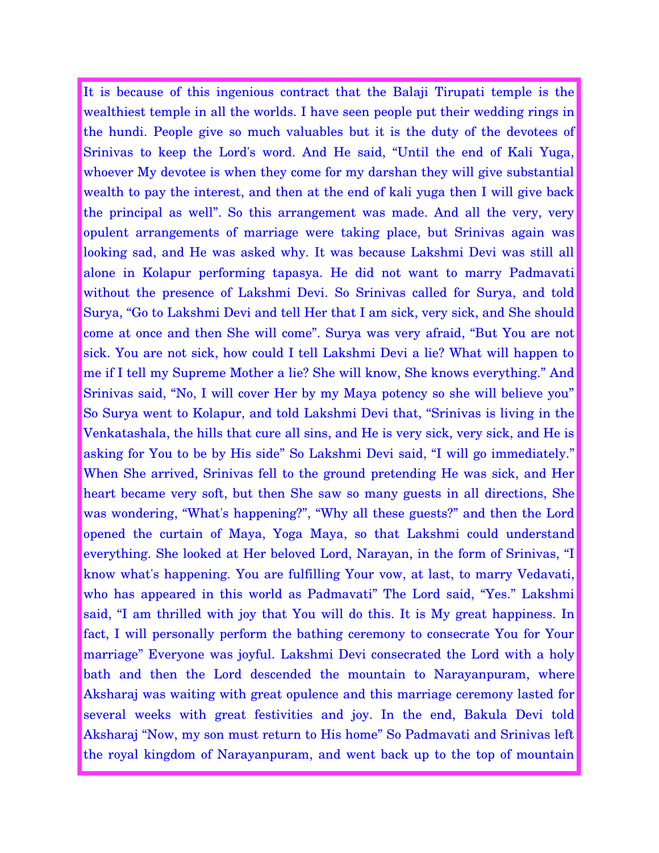It is because of this ingenious contract that the Balaji Tirupati temple is the wealthiest temple in all the worlds. I have seen people put their wedding rings in the hundi. People give so much valuables but it is the duty of the devotees of Srinivas to keep the Lord's word. And He said, "Until the end of Kali Yuga, whoever My devotee is when they come for my darshan they will give substantial wealth to pay the interest, and then at the end of kali yuga then I will give back the principal as well". So this arrangement was made. And all the very, very opulent arrangements of marriage were taking place, but Srinivas again was looking sad, and He was asked why. It was because Lakshmi Devi was still all alone in Kolapur performing tapasya. He did not want to marry Padmavati without the presence of Lakshmi Devi. So Srinivas called for Surya, and told Surya, "Go to Lakshmi Devi and tell Her that I am sick, very sick, and She should come at once and then She will come". Surya was very afraid, "But You are not sick. You are not sick, how could I tell Lakshmi Devi a lie? What will happen to me if I tell my Supreme Mother a lie? She will know, She knows everything." And Srinivas said, "No, I will cover Her by my Maya potency so she will believe you" So Surya went to Kolapur, and told Lakshmi Devi that, "Srinivas is living in the Venkatashala, the hills that cure all sins, and He is very sick, very sick, and He is asking for You to be by His side" So Lakshmi Devi said, "I will go immediately." When She arrived, Srinivas fell to the ground pretending He was sick, and Her heart became very soft, but then She saw so many guests in all directions, She was wondering, "What's happening?", "Why all these guests?" and then the Lord opened the curtain of Maya, Yoga Maya, so that Lakshmi could understand everything. She looked at Her beloved Lord, Narayan, in the form of Srinivas, "I know what's happening. You are fulfilling Your vow, at last, to marry Vedavati, who has appeared in this world as Padmavati" The Lord said, "Yes." Lakshmi said, "I am thrilled with joy that You will do this. It is My great happiness. In fact, I will personally perform the bathing ceremony to consecrate You for Your marriage" Everyone was joyful. Lakshmi Devi consecrated the Lord with a holy bath and then the Lord descended the mountain to Narayanpuram, where Aksharaj was waiting with great opulence and this marriage ceremony lasted for several weeks with great festivities and joy. In the end, Bakula Devi told Aksharaj "Now, my son must return to His home" So Padmavati and Srinivas left the royal kingdom of Narayanpuram, and went back up to the top of mountain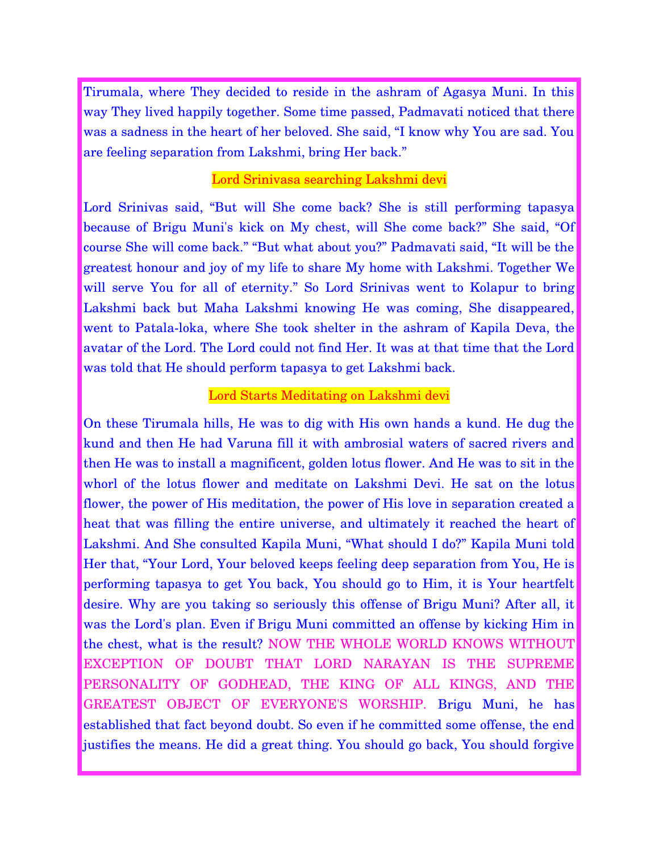Tirumala, where They decided to reside in the ashram of Agasya Muni. In this way They lived happily together. Some time passed, Padmavati noticed that there was a sadness in the heart of her beloved. She said, "I know why You are sad. You are feeling separation from Lakshmi, bring Her back."

# Lord Srinivasa searching Lakshmi devi

Lord Srinivas said, "But will She come back? She is still performing tapasya because of Brigu Muni's kick on My chest, will She come back?" She said, "Of course She will come back." "But what about you?" Padmavati said, "It will be the greatest honour and joy of my life to share My home with Lakshmi. Together We will serve You for all of eternity." So Lord Srinivas went to Kolapur to bring Lakshmi back but Maha Lakshmi knowing He was coming, She disappeared, went to Patala-loka, where She took shelter in the ashram of Kapila Deva, the avatar of the Lord. The Lord could not find Her. It was at that time that the Lord was told that He should perform tapasya to get Lakshmi back.

## Lord Starts Meditating on Lakshmi devi

On these Tirumala hills, He was to dig with His own hands a kund. He dug the kund and then He had Varuna fill it with ambrosial waters of sacred rivers and then He was to install a magnificent, golden lotus flower. And He was to sit in the whorl of the lotus flower and meditate on Lakshmi Devi. He sat on the lotus flower, the power of His meditation, the power of His love in separation created a heat that was filling the entire universe, and ultimately it reached the heart of Lakshmi. And She consulted Kapila Muni, "What should I do?" Kapila Muni told Her that, "Your Lord, Your beloved keeps feeling deep separation from You, He is performing tapasya to get You back, You should go to Him, it is Your heartfelt desire. Why are you taking so seriously this offense of Brigu Muni? After all, it was the Lord's plan. Even if Brigu Muni committed an offense by kicking Him in the chest, what is the result? NOW THE WHOLE WORLD KNOWS WITHOUT EXCEPTION OF DOUBT THAT LORD NARAYAN IS THE SUPREME PERSONALITY OF GODHEAD, THE KING OF ALL KINGS, AND THE GREATEST OBJECT OF EVERYONE'S WORSHIP. Brigu Muni, he has established that fact beyond doubt. So even if he committed some offense, the end justifies the means. He did a great thing. You should go back, You should forgive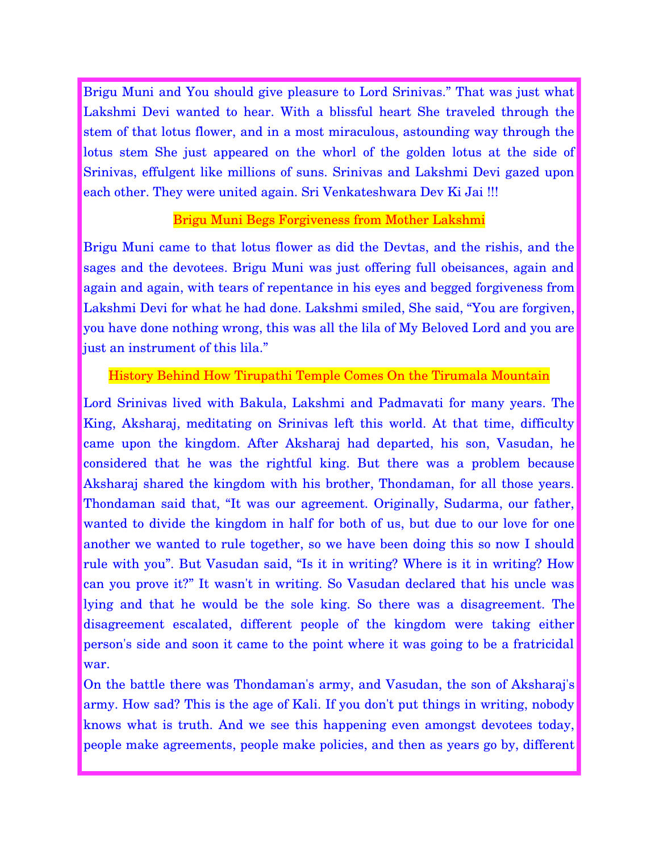Brigu Muni and You should give pleasure to Lord Srinivas." That was just what Lakshmi Devi wanted to hear. With a blissful heart She traveled through the stem of that lotus flower, and in a most miraculous, astounding way through the lotus stem She just appeared on the whorl of the golden lotus at the side of Srinivas, effulgent like millions of suns. Srinivas and Lakshmi Devi gazed upon each other. They were united again. Sri Venkateshwara Dev Ki Jai !!!

# Brigu Muni Begs Forgiveness from Mother Lakshmi

Brigu Muni came to that lotus flower as did the Devtas, and the rishis, and the sages and the devotees. Brigu Muni was just offering full obeisances, again and again and again, with tears of repentance in his eyes and begged forgiveness from Lakshmi Devi for what he had done. Lakshmi smiled, She said, "You are forgiven, you have done nothing wrong, this was all the lila of My Beloved Lord and you are just an instrument of this lila."

## History Behind How Tirupathi Temple Comes On the Tirumala Mountain

Lord Srinivas lived with Bakula, Lakshmi and Padmavati for many years. The King, Aksharaj, meditating on Srinivas left this world. At that time, difficulty came upon the kingdom. After Aksharaj had departed, his son, Vasudan, he considered that he was the rightful king. But there was a problem because Aksharaj shared the kingdom with his brother, Thondaman, for all those years. Thondaman said that, "It was our agreement. Originally, Sudarma, our father, wanted to divide the kingdom in half for both of us, but due to our love for one another we wanted to rule together, so we have been doing this so now I should rule with you". But Vasudan said, "Is it in writing? Where is it in writing? How can you prove it?" It wasn't in writing. So Vasudan declared that his uncle was lying and that he would be the sole king. So there was a disagreement. The disagreement escalated, different people of the kingdom were taking either person's side and soon it came to the point where it was going to be a fratricidal war.

On the battle there was Thondaman's army, and Vasudan, the son of Aksharaj's army. How sad? This is the age of Kali. If you don't put things in writing, nobody knows what is truth. And we see this happening even amongst devotees today, people make agreements, people make policies, and then as years go by, different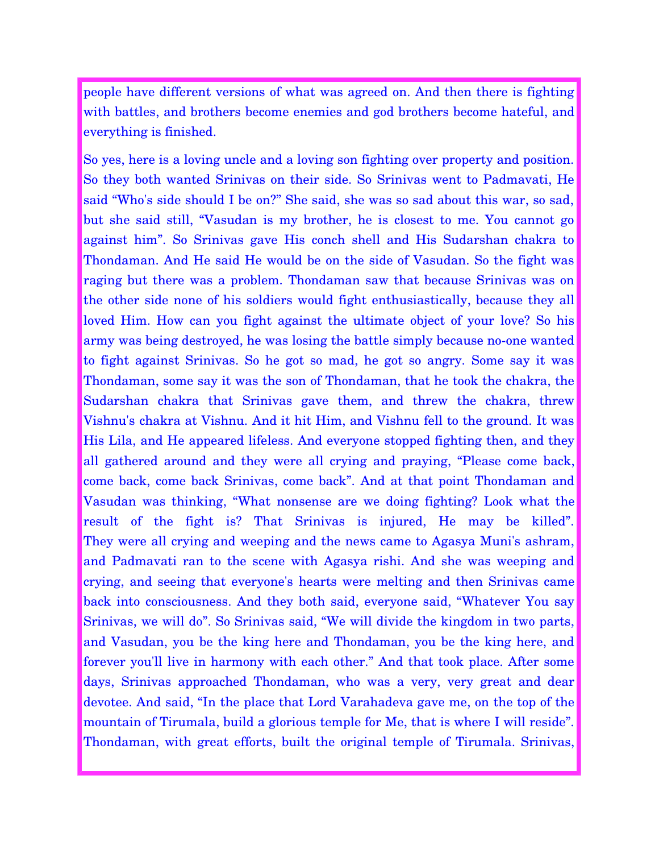people have different versions of what was agreed on. And then there is fighting with battles, and brothers become enemies and god brothers become hateful, and everything is finished.

So yes, here is a loving uncle and a loving son fighting over property and position. So they both wanted Srinivas on their side. So Srinivas went to Padmavati, He said "Who's side should I be on?" She said, she was so sad about this war, so sad, but she said still, "Vasudan is my brother, he is closest to me. You cannot go against him". So Srinivas gave His conch shell and His Sudarshan chakra to Thondaman. And He said He would be on the side of Vasudan. So the fight was raging but there was a problem. Thondaman saw that because Srinivas was on the other side none of his soldiers would fight enthusiastically, because they all loved Him. How can you fight against the ultimate object of your love? So his army was being destroyed, he was losing the battle simply because no-one wanted to fight against Srinivas. So he got so mad, he got so angry. Some say it was Thondaman, some say it was the son of Thondaman, that he took the chakra, the Sudarshan chakra that Srinivas gave them, and threw the chakra, threw Vishnu's chakra at Vishnu. And it hit Him, and Vishnu fell to the ground. It was His Lila, and He appeared lifeless. And everyone stopped fighting then, and they all gathered around and they were all crying and praying, "Please come back, come back, come back Srinivas, come back". And at that point Thondaman and Vasudan was thinking, "What nonsense are we doing fighting? Look what the result of the fight is? That Srinivas is injured, He may be killed". They were all crying and weeping and the news came to Agasya Muni's ashram, and Padmavati ran to the scene with Agasya rishi. And she was weeping and crying, and seeing that everyone's hearts were melting and then Srinivas came back into consciousness. And they both said, everyone said, "Whatever You say Srinivas, we will do". So Srinivas said, "We will divide the kingdom in two parts, and Vasudan, you be the king here and Thondaman, you be the king here, and forever you'll live in harmony with each other." And that took place. After some days, Srinivas approached Thondaman, who was a very, very great and dear devotee. And said, "In the place that Lord Varahadeva gave me, on the top of the mountain of Tirumala, build a glorious temple for Me, that is where I will reside". Thondaman, with great efforts, built the original temple of Tirumala. Srinivas,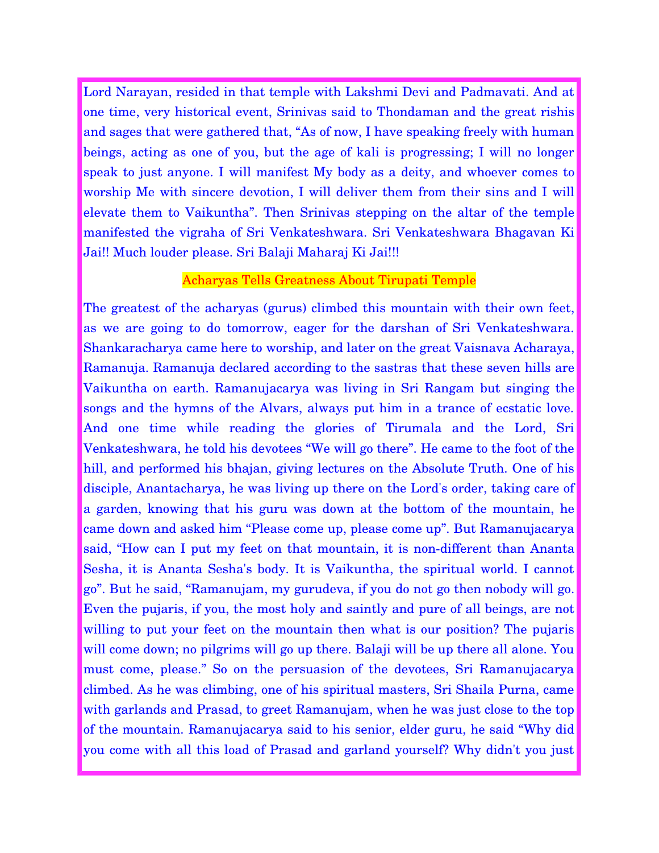Lord Narayan, resided in that temple with Lakshmi Devi and Padmavati. And at one time, very historical event, Srinivas said to Thondaman and the great rishis and sages that were gathered that, "As of now, I have speaking freely with human beings, acting as one of you, but the age of kali is progressing; I will no longer speak to just anyone. I will manifest My body as a deity, and whoever comes to worship Me with sincere devotion, I will deliver them from their sins and I will elevate them to Vaikuntha". Then Srinivas stepping on the altar of the temple manifested the vigraha of Sri Venkateshwara. Sri Venkateshwara Bhagavan Ki Jai!! Much louder please. Sri Balaji Maharaj Ki Jai!!!

### Acharyas Tells Greatness About Tirupati Temple

The greatest of the acharyas (gurus) climbed this mountain with their own feet, as we are going to do tomorrow, eager for the darshan of Sri Venkateshwara. Shankaracharya came here to worship, and later on the great Vaisnava Acharaya, Ramanuja. Ramanuja declared according to the sastras that these seven hills are Vaikuntha on earth. Ramanujacarya was living in Sri Rangam but singing the songs and the hymns of the Alvars, always put him in a trance of ecstatic love. And one time while reading the glories of Tirumala and the Lord, Sri Venkateshwara, he told his devotees "We will go there". He came to the foot of the hill, and performed his bhajan, giving lectures on the Absolute Truth. One of his disciple, Anantacharya, he was living up there on the Lord's order, taking care of a garden, knowing that his guru was down at the bottom of the mountain, he came down and asked him "Please come up, please come up". But Ramanujacarya said, "How can I put my feet on that mountain, it is non-different than Ananta Sesha, it is Ananta Sesha's body. It is Vaikuntha, the spiritual world. I cannot go". But he said, "Ramanujam, my gurudeva, if you do not go then nobody will go. Even the pujaris, if you, the most holy and saintly and pure of all beings, are not willing to put your feet on the mountain then what is our position? The pujaris will come down; no pilgrims will go up there. Balaji will be up there all alone. You must come, please." So on the persuasion of the devotees, Sri Ramanujacarya climbed. As he was climbing, one of his spiritual masters, Sri Shaila Purna, came with garlands and Prasad, to greet Ramanujam, when he was just close to the top of the mountain. Ramanujacarya said to his senior, elder guru, he said "Why did you come with all this load of Prasad and garland yourself? Why didn't you just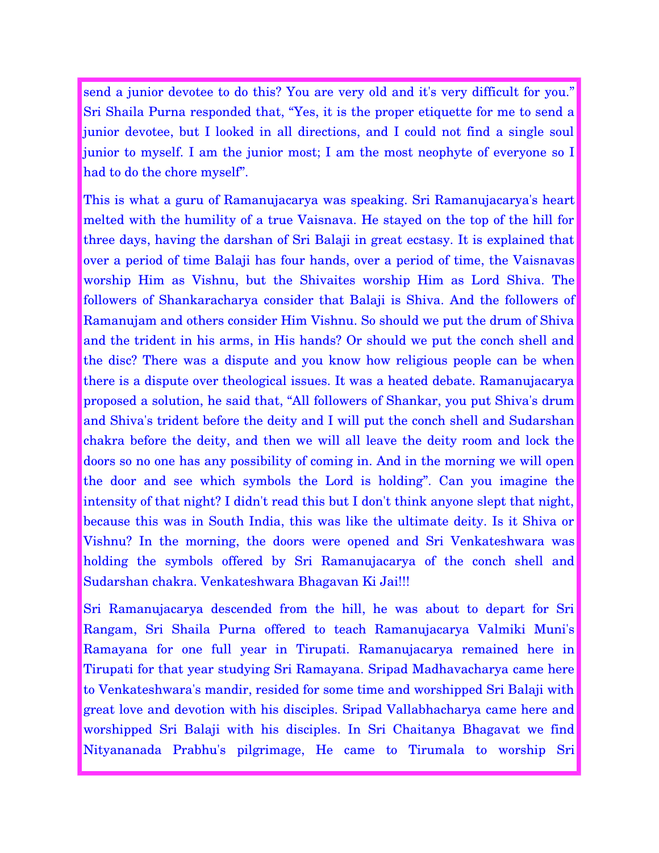send a junior devotee to do this? You are very old and it's very difficult for you." Sri Shaila Purna responded that, "Yes, it is the proper etiquette for me to send a junior devotee, but I looked in all directions, and I could not find a single soul junior to myself. I am the junior most; I am the most neophyte of everyone so I had to do the chore myself".

This is what a guru of Ramanujacarya was speaking. Sri Ramanujacarya's heart melted with the humility of a true Vaisnava. He stayed on the top of the hill for three days, having the darshan of Sri Balaji in great ecstasy. It is explained that over a period of time Balaji has four hands, over a period of time, the Vaisnavas worship Him as Vishnu, but the Shivaites worship Him as Lord Shiva. The followers of Shankaracharya consider that Balaji is Shiva. And the followers of Ramanujam and others consider Him Vishnu. So should we put the drum of Shiva and the trident in his arms, in His hands? Or should we put the conch shell and the disc? There was a dispute and you know how religious people can be when there is a dispute over theological issues. It was a heated debate. Ramanujacarya proposed a solution, he said that, "All followers of Shankar, you put Shiva's drum and Shiva's trident before the deity and I will put the conch shell and Sudarshan chakra before the deity, and then we will all leave the deity room and lock the doors so no one has any possibility of coming in. And in the morning we will open the door and see which symbols the Lord is holding". Can you imagine the intensity of that night? I didn't read this but I don't think anyone slept that night, because this was in South India, this was like the ultimate deity. Is it Shiva or Vishnu? In the morning, the doors were opened and Sri Venkateshwara was holding the symbols offered by Sri Ramanujacarya of the conch shell and Sudarshan chakra. Venkateshwara Bhagavan Ki Jai!!!

Sri Ramanujacarya descended from the hill, he was about to depart for Sri Rangam, Sri Shaila Purna offered to teach Ramanujacarya Valmiki Muni's Ramayana for one full year in Tirupati. Ramanujacarya remained here in Tirupati for that year studying Sri Ramayana. Sripad Madhavacharya came here to Venkateshwara's mandir, resided for some time and worshipped Sri Balaji with great love and devotion with his disciples. Sripad Vallabhacharya came here and worshipped Sri Balaji with his disciples. In Sri Chaitanya Bhagavat we find Nityananada Prabhu's pilgrimage, He came to Tirumala to worship Sri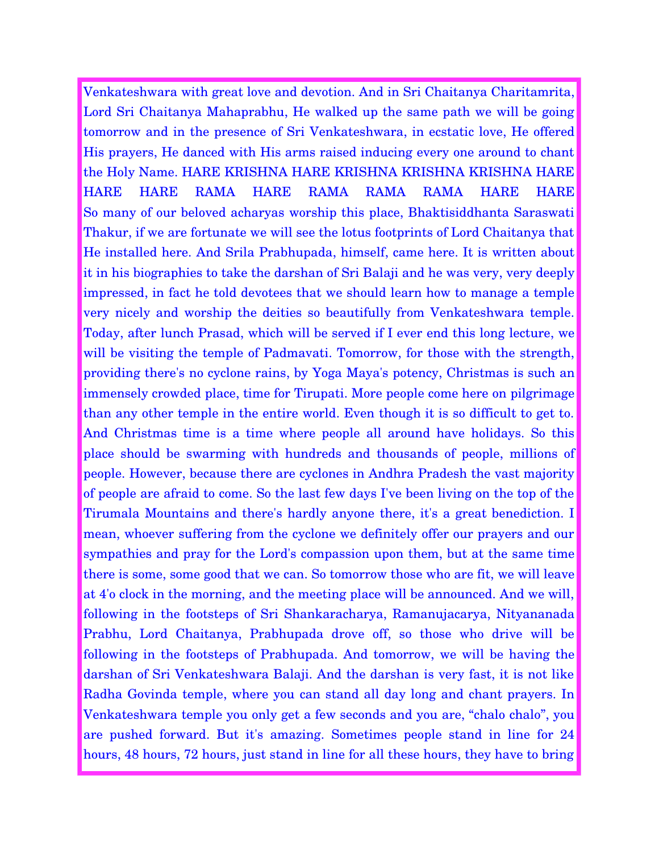Venkateshwara with great love and devotion. And in Sri Chaitanya Charitamrita, Lord Sri Chaitanya Mahaprabhu, He walked up the same path we will be going tomorrow and in the presence of Sri Venkateshwara, in ecstatic love, He offered His prayers, He danced with His arms raised inducing every one around to chant the Holy Name. HARE KRISHNA HARE KRISHNA KRISHNA KRISHNA HARE HARE HARE RAMA HARE RAMA RAMA RAMA HARE HARE So many of our beloved acharyas worship this place, Bhaktisiddhanta Saraswati Thakur, if we are fortunate we will see the lotus footprints of Lord Chaitanya that He installed here. And Srila Prabhupada, himself, came here. It is written about it in his biographies to take the darshan of Sri Balaji and he was very, very deeply impressed, in fact he told devotees that we should learn how to manage a temple very nicely and worship the deities so beautifully from Venkateshwara temple. Today, after lunch Prasad, which will be served if I ever end this long lecture, we will be visiting the temple of Padmavati. Tomorrow, for those with the strength, providing there's no cyclone rains, by Yoga Maya's potency, Christmas is such an immensely crowded place, time for Tirupati. More people come here on pilgrimage than any other temple in the entire world. Even though it is so difficult to get to. And Christmas time is a time where people all around have holidays. So this place should be swarming with hundreds and thousands of people, millions of people. However, because there are cyclones in Andhra Pradesh the vast majority of people are afraid to come. So the last few days I've been living on the top of the Tirumala Mountains and there's hardly anyone there, it's a great benediction. I mean, whoever suffering from the cyclone we definitely offer our prayers and our sympathies and pray for the Lord's compassion upon them, but at the same time there is some, some good that we can. So tomorrow those who are fit, we will leave at 4'o clock in the morning, and the meeting place will be announced. And we will, following in the footsteps of Sri Shankaracharya, Ramanujacarya, Nityananada Prabhu, Lord Chaitanya, Prabhupada drove off, so those who drive will be following in the footsteps of Prabhupada. And tomorrow, we will be having the darshan of Sri Venkateshwara Balaji. And the darshan is very fast, it is not like Radha Govinda temple, where you can stand all day long and chant prayers. In Venkateshwara temple you only get a few seconds and you are, "chalo chalo", you are pushed forward. But it's amazing. Sometimes people stand in line for 24 hours, 48 hours, 72 hours, just stand in line for all these hours, they have to bring